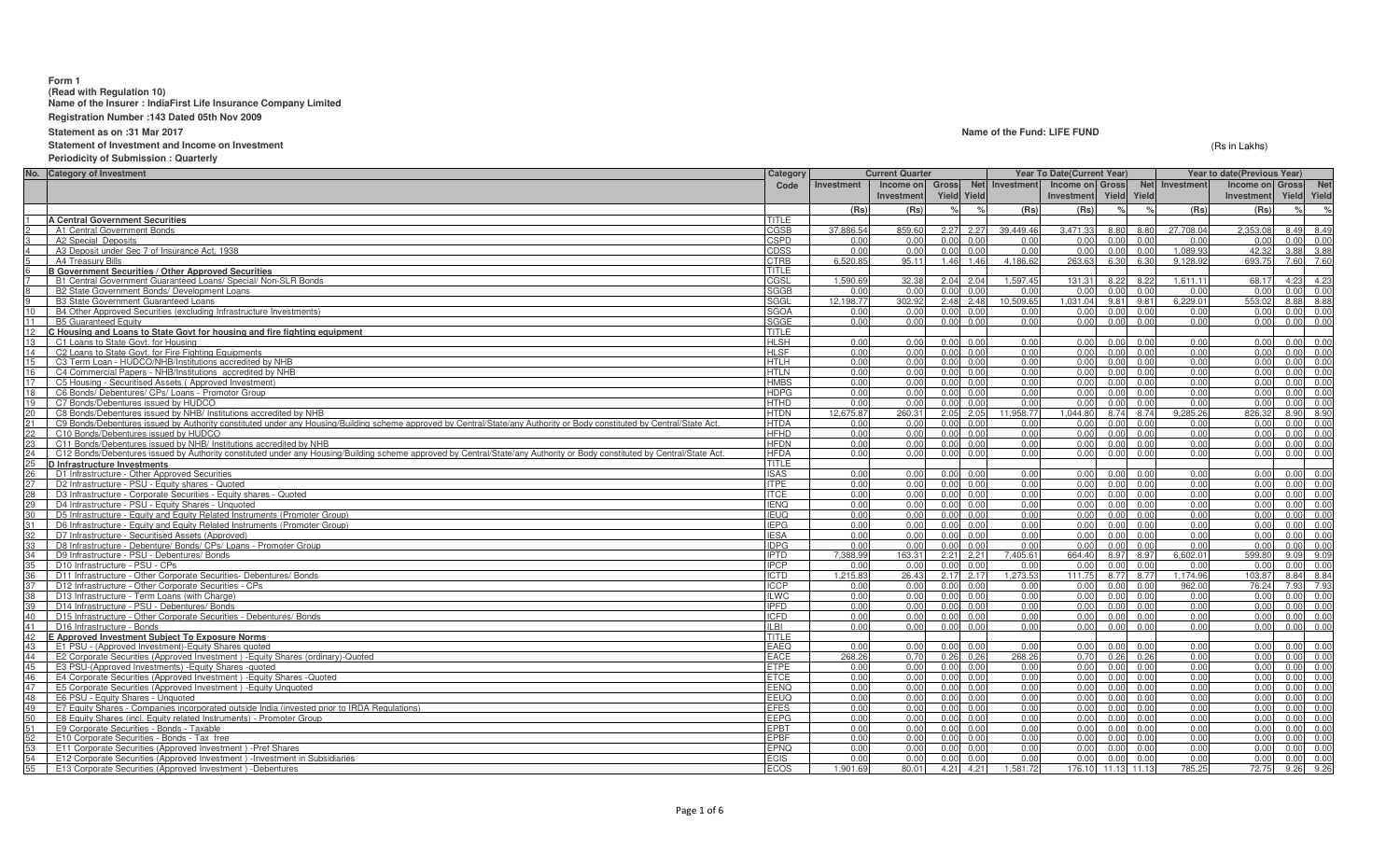### **Form 1**

**(Read with Regulation 10) Name of the Insurer : IndiaFirst Life Insurance Company Limited**

**Registration Number :143 Dated 05th Nov 2009**

**Statement as on :31 Mar 2017**

## **Statement of Investment and Income on Investment**

**Periodicity of Submission : Quarterly**

| <b>Gross</b><br>Net Investment<br>Net Investment<br>Investment<br>Income on<br>Income on Gross<br>Income on Gross<br>Code<br>Investment<br><b>Yield Yield</b><br>Yield<br>Yield<br>Yield<br>Investmen<br>Investment<br>(Rs)<br>(Rs)<br>(Rs)<br>(Rs)<br>(Rs)<br>(Rs<br><b>A Central Government Securities</b><br>TITLE<br>CGSB<br>37,886.54<br>$2.27$ $2.27$<br>39.449.46<br>3.471.33<br>8.80<br>27,708.04<br>2,353.08<br>A1 Central Government Bonds<br>859.60<br>8.80<br>8.49<br>A2 Special Deposits<br><b>CSPD</b><br>0.00<br>$0.00 \quad 0.00$<br>0.00<br>0.00<br>0.00<br>0.00<br>0.00<br>0.00<br>0.00<br>0.00<br>$0.00 \quad 0.00$<br>0.00<br>1.089.93<br>42.32<br>3.88<br>A3 Deposit under Sec 7 of Insurance Act, 1938<br><b>CDSS</b><br>0.00<br>0.00<br>0.00<br>0.00<br>0.00<br>3.88<br>6.520.8<br>95.11<br>4.186.62<br>263.63<br>693.75<br>7.60<br><b>CTRB</b><br>1.46 1.46<br>6.30<br>6.30<br>9.128.92<br>7.60<br>A4 Treasury Bills<br><b>B Government Securities / Other Approved Securities</b><br>TITLE<br>1.590.6<br>32.38<br>2.04 2.04<br>1.597.45<br>131.31<br>8.22<br>8.22<br>1.611.11<br>68.17<br>4.23<br>4.23<br>B1 Central Government Guaranteed Loans/ Special/ Non-SLR Bonds<br>CGSL<br>0.00<br>B2 State Government Bonds/ Development Loans<br><b>SGGB</b><br>0.00<br>$0.00 \quad 0.00$<br>0.00<br>0.00<br>0.00<br>0.00<br>0.00<br>0.00<br>0.00<br>0.00<br>302.92<br>10.509.65<br>1.031.04<br>8.88<br>SGGL<br>12.198.77<br>2.48 2.48<br>9.81<br>9.81<br>6.229.01<br>553.02<br>8.88<br><b>B3 State Government Guaranteed Loans</b><br><b>SGOA</b><br>$0.00 \quad 0.00$<br>0.00<br>0.00<br>0.00<br>B4 Other Approved Securities (excluding Infrastructure Investments)<br>0.00<br>0.00<br>0.00<br>0.00<br>0.00<br>0.00<br>0.00<br>0.00<br>$0.00 \quad 0.00$<br>0.00<br>0.00<br>0.00<br>0.00<br>0.00<br>0.00<br><b>B5 Guaranteed Equity</b><br>0.00<br>0.00<br>0.00<br>SGGE<br>12<br>C Housing and Loans to State Govt for housing and fire fighting equipment<br>TITLE<br>0.00<br>0.00<br>13<br>C1 Loans to State Govt. for Housing<br><b>HLSH</b><br>0.00<br>0.00<br>$0.00 \quad 0.00$<br>0.00<br>0.00<br>0.00<br>0.00<br>0.00<br>0.00<br>14<br>C2 Loans to State Govt. for Fire Fighting Equipments<br><b>HLSF</b><br>0.00<br>0.00<br>$0.00 \quad 0.00$<br>0.00<br>0.00<br>0.00<br>0.00<br>0.00<br>0.00<br>0.00<br>0.00<br>C3 Term Loan - HUDCO/NHB/Institutions accredited by NHB<br>0.00<br>$0.00 \quad 0.00$<br>0.00<br>0.00<br>0.00<br>15<br><b>HTLH</b><br>0.00<br>0.00<br>0.00<br>0.00<br>0.00<br>0.00<br>C4 Commercial Papers - NHB/Institutions accredited by NHB<br>0.00<br>0.00<br>0.00<br>16<br><b>HTLN</b><br>0.00<br>0.00<br>$0.00 \quad 0.00$<br>0.00<br>0.00<br>0.00<br>0.00<br>0.00<br>0.00<br>0.00<br>0.00<br>C5 Housing - Securitised Assets (Approved Investment)<br><b>HMBS</b><br>0.00<br>0.00<br>$0.00 \quad 0.00$<br>0.00<br>0.00<br>0.00<br>0.00<br>0.00<br>0.00<br>0.00<br>0.00<br>0.00<br>0.00<br>0.00<br>0.00<br>0.00<br>18<br>C6 Bonds/ Debentures/ CPs/ Loans - Promotor Group<br><b>HDPG</b><br>0.00<br>$0.00 \quad 0.00$<br>0.00<br>0.00<br>19<br>C7 Bonds/Debentures issued by HUDCO<br>0.00<br>0.00<br>$0.00 \quad 0.00$<br>0.00<br>0.00<br>0.00<br>0.00<br>0.00<br>0.00<br>0.00<br><b>HTHD</b><br>20<br><b>HTDN</b><br>12.675.87<br>260.31<br>2.05 2.05<br>11.958.77<br>1.044.80<br>8.74 8.74<br>9.285.26<br>826.32<br>8.90<br>8.90<br>C8 Bonds/Debentures issued by NHB/ Institutions accredited by NHB<br>0.00<br>C9 Bonds/Debentures issued by Authority constituted under any Housing/Building scheme approved by Central/State/any Authority or Body constituted by Central/State Act.<br><b>HTDA</b><br>0.00<br>$0.00 \quad 0.00$<br>0.00<br>0.00<br>0.00<br>0.00<br>0.00<br>0.00<br>0.00<br>0.00<br>22<br>C10 Bonds/Debentures issued by HUDCO<br><b>HFHD</b><br>0.00<br>$0.00 \quad 0.00$<br>0.00<br>0.00<br>0.00<br>0.00<br>0.00<br>0.00<br>0.00<br>0.00<br>0.00<br>23<br>C11 Bonds/Debentures issued by NHB/ Institutions accredited by NHB<br><b>HFDN</b><br>0.00<br>$0.00 \quad 0.00$<br>0.00<br>0.00<br>0.00<br>0.00<br>0.00<br>0.00<br>0.00<br>0.00<br>0.00<br>0.00<br>24<br>C12 Bonds/Debentures issued by Authority constituted under any Housing/Building scheme approved by Central/State/any Authority or Body constituted by Central/State Act.<br><b>HFDA</b><br>0.00<br>0.00<br>$0.00 \quad 0.00$<br>0.00<br>0.00<br>0.00<br>0.00<br>0.00<br>0.00<br>0.00<br>D Infrastructure Investments<br>TITLE<br><b>ISAS</b><br>$0.00 \quad 0.00$<br>0.00<br>D1 Infrastructure - Other Approved Securities<br>0.00<br>0.00<br>0.00<br>$0.00 \quad 0.00$<br>0.00<br>0.00<br>0.00<br><b>ITPE</b><br>0.00<br>0.00<br>0.00<br>D2 Infrastructure - PSU - Equity shares - Quoted<br>0.00<br>0.00<br>$0.00 \quad 0.00$<br>0.00<br>0.00<br>0.00<br>0.00<br>0.00<br>28<br>D3 Infrastructure - Corporate Securities - Equity shares - Quoted<br>0.00<br>$0.00 \quad 0.00$<br>0.00<br>0.00<br>0.00<br>0.00<br>0.00<br>0.00<br><b>ITCE</b><br>0.00<br>0.00<br>0.00<br>$0.00 \quad 0.00$<br>0.00<br>0.00<br>D4 Infrastructure - PSU - Equity Shares - Unquoted<br><b>IENQ</b><br>0.00<br>0.00<br>0.00<br>0.00<br>0.00<br>0.00<br>0.00<br>0.00<br>0.00<br>0.00<br>0.00<br>0.00<br>30<br>D5 Infrastructure - Equity and Equity Related Instruments (Promoter Group)<br><b>IEUQ</b><br>0.00<br>0.00<br>$0.00 \quad 0.00$<br>0.00<br>0.00<br>0.00<br>0.00<br>D6 Infrastructure - Equity and Equity Related Instruments (Promoter Group)<br><b>IEPG</b><br>0.00<br>$0.00 \quad 0.00$<br>0.00<br>0.00<br>0.00<br>0.00<br>0.00<br>0.00<br>0.00<br>32<br>0.00<br>D7 Infrastructure - Securitised Assets (Approved)<br><b>IESA</b><br>0.00<br>$0.00 \quad 0.00$<br>0.00<br>0.00<br>0.00<br>0.00<br>0.00<br>0.00<br>0.00<br>0.00<br>0.00 0.00<br>0.00<br>0.00<br>D8 Infrastructure - Debenture/ Bonds/ CPs/ Loans - Promoter Group<br><b>IDPG</b><br>0.00<br>0.00<br>0.00<br>0.00<br>0.00<br>0.00<br>0.00<br>0.00<br>7.405.61<br>163.31<br>664.40<br>6.602.01<br>599.80<br>9.09<br>34<br>D9 Infrastructure - PSU - Debentures/ Bonds<br><b>IPTD</b><br>7.388.99<br>$2.21$ $2.21$<br>8.97<br>8.97<br>9.09<br>0.00<br>0.00<br>35<br>D10 Infrastructure - PSU - CPs<br><b>IPCP</b><br>$0.00 \quad 0.00$<br>0.00<br>0.00<br>0.00<br>0.00<br>0.00<br>0.00<br>0.00<br>0.00<br>26.43<br>$2.17$ $2.17$<br>.273.53<br>1.174.96<br>103.87<br>8.84<br>D11 Infrastructure - Other Corporate Securities- Debentures/ Bonds<br><b>ICTD</b><br>1.215.8<br>111.7<br>8.77<br>8.77<br>8.84<br>7.93<br>D12 Infrastructure - Other Corporate Securities - CPs<br><b>ICCP</b><br>0.00<br>$0.00 \quad 0.00$<br>0.00<br>0.00<br>962.00<br>76.24<br>7.93<br>0.00<br>0.00<br>0.00<br>D13 Infrastructure - Term Loans (with Charge)<br>0.00<br>0.00<br>0.00<br>0.00<br>38<br><b>ILWC</b><br>$0.00 \quad 0.00$<br>0.00<br>0.00<br>0.00<br>0.00<br>0.00<br>0.00<br>0.00<br>0.00<br>39<br>D14 Infrastructure - PSU - Debentures/ Bonds<br><b>IPFD</b><br>0.00<br>$0.00 \quad 0.00$<br>0.00<br>0.00<br>0.00<br>0.00<br>0.00<br>0.00<br>0.00<br>D15 Infrastructure - Other Corporate Securities - Debentures/ Bonds<br><b>ICFD</b><br>0.00<br>40<br>0.00<br>$0.00 \quad 0.00$<br>0.00<br>0.00<br>0.00<br>0.00<br>0.00<br>0.00<br>0.00<br>0.00<br>41<br><b>ILBI</b><br>0.00<br>$0.00 \quad 0.00$<br>0.00<br>0.00<br>0.00<br>0.00<br>0.00<br>0.00<br>0.00<br>0.00<br>0.00<br>D16 Infrastructure - Bonds<br>42<br>E Approved Investment Subject To Exposure Norms<br>TITLE<br>E1 PSU - (Approved Investment)-Equity Shares quoted<br>EAEO<br>$0.00 \quad 0.00$<br>0.00<br>0.00<br>0.00<br>0.00<br>0.00<br>0.00<br>0.00<br>0.00<br>0.00<br>0.00<br>0.00<br>44<br>E2 Corporate Securities (Approved Investment) - Equity Shares (ordinary)-Quoted<br><b>EACE</b><br>0.70<br>268.26<br>0.26<br>0.00<br>0.00<br>268.26<br>$0.26$ 0.26<br>0.70<br>0.26<br>0.00<br>0.00<br>45<br>E3 PSU-(Approved Investments) - Equity Shares - quoted<br><b>ETPE</b><br>0.00<br>$0.00 \quad 0.00$<br>0.00<br>0.00<br>0.00<br>0.00<br>0.00<br>0.00<br>0.00<br>0.00<br>0.00<br>0.00<br>0.00<br>0.00<br>0.00<br>0.00<br>0.00<br>E4 Corporate Securities (Approved Investment) - Equity Shares - Quoted<br><b>ETCE</b><br>$0.00 \quad 0.00$<br>0.00<br>0.00<br>0.00<br>0.00<br>47<br>E5 Corporate Securities (Approved Investment) - Equity Unquoted<br><b>EENQ</b><br>0.00<br>0.00<br>$0.00 \quad 0.00$<br>0.00<br>0.00<br>0.00<br>0.00<br>0.00<br>0.00<br>0.00<br>0.00<br>E6 PSU - Equity Shares - Unquoted<br>EEUQ<br>0.00<br>$0.00 \quad 0.00$<br>0.00<br>0.00<br>0.00<br>0.00<br>0.00<br>0.00<br>0.00<br>0.00<br>0.00<br>49<br>E7 Equity Shares - Companies incorporated outside India (invested prior to IRDA Regulations)<br><b>EFES</b><br>0.00<br>0.00<br>$0.00 \quad 0.00$<br>0.00<br>0.00<br>0.00<br>0.00<br>0.00<br>0.00<br>0.00<br>0.00<br>0.00<br>0.00<br>0.00<br>50<br>E8 Equity Shares (incl. Equity related Instruments) - Promoter Group<br><b>EEPG</b><br>0.00<br>$0.00 \quad 0.00$<br>0.00<br>0.00<br>0.00<br>0.00<br>0.00<br><b>EPBT</b><br>0.00<br>0.00<br>0.00<br>0.00<br>51<br>E9 Corporate Securities - Bonds - Taxable<br>0.00<br>0.00<br>$0.00 \quad 0.00$<br>0.00<br>0.00<br>0.00<br>0.00<br>0.00<br>E10 Corporate Securities - Bonds - Tax free<br>$0.00 \quad 0.00$<br>0.00<br>0.00<br>0.00<br>0.00<br>52<br><b>EPBF</b><br>0.00<br>0.00<br>0.00<br>0.00<br>0.00<br>53<br>E11 Corporate Securities (Approved Investment) - Pref Shares<br>0.00<br>$0.00 \quad 0.00$<br>0.00<br>0.00<br>0.00<br>0.00<br>0.00<br><b>EPNQ</b><br>0.00<br>0.00<br>0.00<br>0.00<br>0.00<br>54<br>0.00<br>$0.00 \quad 0.00$<br>0.00<br>0.00<br>0.00<br>0.00<br>0.00<br>0.00<br>0.00<br>E12 Corporate Securities (Approved Investment) - Investment in Subsidiaries<br>ECIS<br>0.00<br>55<br>E13 Corporate Securities (Approved Investment) - Debentures<br><b>ECOS</b><br>1.901.69<br>80.01<br>4.21 4.21<br>1.581.72<br>176.10<br>11.13 11.13<br>785.25<br>72.75<br>9.26 | No. Category of Investment | Category | <b>Current Quarter</b> |  |  | Year To Date(Current Year) | Year to date(Previous Year) |  |  |            |
|--------------------------------------------------------------------------------------------------------------------------------------------------------------------------------------------------------------------------------------------------------------------------------------------------------------------------------------------------------------------------------------------------------------------------------------------------------------------------------------------------------------------------------------------------------------------------------------------------------------------------------------------------------------------------------------------------------------------------------------------------------------------------------------------------------------------------------------------------------------------------------------------------------------------------------------------------------------------------------------------------------------------------------------------------------------------------------------------------------------------------------------------------------------------------------------------------------------------------------------------------------------------------------------------------------------------------------------------------------------------------------------------------------------------------------------------------------------------------------------------------------------------------------------------------------------------------------------------------------------------------------------------------------------------------------------------------------------------------------------------------------------------------------------------------------------------------------------------------------------------------------------------------------------------------------------------------------------------------------------------------------------------------------------------------------------------------------------------------------------------------------------------------------------------------------------------------------------------------------------------------------------------------------------------------------------------------------------------------------------------------------------------------------------------------------------------------------------------------------------------------------------------------------------------------------------------------------------------------------------------------------------------------------------------------------------------------------------------------------------------------------------------------------------------------------------------------------------------------------------------------------------------------------------------------------------------------------------------------------------------------------------------------------------------------------------------------------------------------------------------------------------------------------------------------------------------------------------------------------------------------------------------------------------------------------------------------------------------------------------------------------------------------------------------------------------------------------------------------------------------------------------------------------------------------------------------------------------------------------------------------------------------------------------------------------------------------------------------------------------------------------------------------------------------------------------------------------------------------------------------------------------------------------------------------------------------------------------------------------------------------------------------------------------------------------------------------------------------------------------------------------------------------------------------------------------------------------------------------------------------------------------------------------------------------------------------------------------------------------------------------------------------------------------------------------------------------------------------------------------------------------------------------------------------------------------------------------------------------------------------------------------------------------------------------------------------------------------------------------------------------------------------------------------------------------------------------------------------------------------------------------------------------------------------------------------------------------------------------------------------------------------------------------------------------------------------------------------------------------------------------------------------------------------------------------------------------------------------------------------------------------------------------------------------------------------------------------------------------------------------------------------------------------------------------------------------------------------------------------------------------------------------------------------------------------------------------------------------------------------------------------------------------------------------------------------------------------------------------------------------------------------------------------------------------------------------------------------------------------------------------------------------------------------------------------------------------------------------------------------------------------------------------------------------------------------------------------------------------------------------------------------------------------------------------------------------------------------------------------------------------------------------------------------------------------------------------------------------------------------------------------------------------------------------------------------------------------------------------------------------------------------------------------------------------------------------------------------------------------------------------------------------------------------------------------------------------------------------------------------------------------------------------------------------------------------------------------------------------------------------------------------------------------------------------------------------------------------------------------------------------------------------------------------------------------------------------------------------------------------------------------------------------------------------------------------------------------------------------------------------------------------------------------------------------------------------------------------------------------------------------------------------------------------------------------------------------------------------------------------------------------------------------------------------------------------------------------------------------------------------------------------------------------------------------------------------------------------------------------------------------------------------------------------------------------------------------------------------------------------------------------------------------------------------------------------------------------------------------------------------------------------------------------------------------------------------------------------------------------------------------------------------------------------------------------------------------------------------------------------------------------------------------------------------------------------------------------------------------------------------------------------------------------------------------------------------------------------------------------------------------------------------------------------------------------------------------------------------------------------------------------------------------------------------------------------------------------------------------------------------------------------------------------------------------------------------------------------------------------------------------------------------------------------------------------------------------------------------------------------------------------------------------------------------------------------------------------------------------------------------------------------------------------------------------------------------------------------------------------------------------------------------------------------------------------------------------------------------------------------------------------------------------------------------------------------------------------------------------------------------------------------------------------------------------------------------------------------------------------------------------------------------------------------------------------------------------------------------------------------------------------------------------------------------------------------------------------------------------------------------------------------------------------------------------------------------------------------------|----------------------------|----------|------------------------|--|--|----------------------------|-----------------------------|--|--|------------|
|                                                                                                                                                                                                                                                                                                                                                                                                                                                                                                                                                                                                                                                                                                                                                                                                                                                                                                                                                                                                                                                                                                                                                                                                                                                                                                                                                                                                                                                                                                                                                                                                                                                                                                                                                                                                                                                                                                                                                                                                                                                                                                                                                                                                                                                                                                                                                                                                                                                                                                                                                                                                                                                                                                                                                                                                                                                                                                                                                                                                                                                                                                                                                                                                                                                                                                                                                                                                                                                                                                                                                                                                                                                                                                                                                                                                                                                                                                                                                                                                                                                                                                                                                                                                                                                                                                                                                                                                                                                                                                                                                                                                                                                                                                                                                                                                                                                                                                                                                                                                                                                                                                                                                                                                                                                                                                                                                                                                                                                                                                                                                                                                                                                                                                                                                                                                                                                                                                                                                                                                                                                                                                                                                                                                                                                                                                                                                                                                                                                                                                                                                                                                                                                                                                                                                                                                                                                                                                                                                                                                                                                                                                                                                                                                                                                                                                                                                                                                                                                                                                                                                                                                                                                                                                                                                                                                                                                                                                                                                                                                                                                                                                                                                                                                                                                                                                                                                                                                                                                                                                                                                                                                                                                                                                                                                                                                                                                                                                                                                                                                                                                                                                                                                                                                                                                                                                                                                                                                                                                                                                                                                                                                                                                                                                                                                                                                                                                                                                                                                                    |                            |          |                        |  |  |                            |                             |  |  | <b>Net</b> |
|                                                                                                                                                                                                                                                                                                                                                                                                                                                                                                                                                                                                                                                                                                                                                                                                                                                                                                                                                                                                                                                                                                                                                                                                                                                                                                                                                                                                                                                                                                                                                                                                                                                                                                                                                                                                                                                                                                                                                                                                                                                                                                                                                                                                                                                                                                                                                                                                                                                                                                                                                                                                                                                                                                                                                                                                                                                                                                                                                                                                                                                                                                                                                                                                                                                                                                                                                                                                                                                                                                                                                                                                                                                                                                                                                                                                                                                                                                                                                                                                                                                                                                                                                                                                                                                                                                                                                                                                                                                                                                                                                                                                                                                                                                                                                                                                                                                                                                                                                                                                                                                                                                                                                                                                                                                                                                                                                                                                                                                                                                                                                                                                                                                                                                                                                                                                                                                                                                                                                                                                                                                                                                                                                                                                                                                                                                                                                                                                                                                                                                                                                                                                                                                                                                                                                                                                                                                                                                                                                                                                                                                                                                                                                                                                                                                                                                                                                                                                                                                                                                                                                                                                                                                                                                                                                                                                                                                                                                                                                                                                                                                                                                                                                                                                                                                                                                                                                                                                                                                                                                                                                                                                                                                                                                                                                                                                                                                                                                                                                                                                                                                                                                                                                                                                                                                                                                                                                                                                                                                                                                                                                                                                                                                                                                                                                                                                                                                                                                                                                                    |                            |          |                        |  |  |                            |                             |  |  | Yield      |
|                                                                                                                                                                                                                                                                                                                                                                                                                                                                                                                                                                                                                                                                                                                                                                                                                                                                                                                                                                                                                                                                                                                                                                                                                                                                                                                                                                                                                                                                                                                                                                                                                                                                                                                                                                                                                                                                                                                                                                                                                                                                                                                                                                                                                                                                                                                                                                                                                                                                                                                                                                                                                                                                                                                                                                                                                                                                                                                                                                                                                                                                                                                                                                                                                                                                                                                                                                                                                                                                                                                                                                                                                                                                                                                                                                                                                                                                                                                                                                                                                                                                                                                                                                                                                                                                                                                                                                                                                                                                                                                                                                                                                                                                                                                                                                                                                                                                                                                                                                                                                                                                                                                                                                                                                                                                                                                                                                                                                                                                                                                                                                                                                                                                                                                                                                                                                                                                                                                                                                                                                                                                                                                                                                                                                                                                                                                                                                                                                                                                                                                                                                                                                                                                                                                                                                                                                                                                                                                                                                                                                                                                                                                                                                                                                                                                                                                                                                                                                                                                                                                                                                                                                                                                                                                                                                                                                                                                                                                                                                                                                                                                                                                                                                                                                                                                                                                                                                                                                                                                                                                                                                                                                                                                                                                                                                                                                                                                                                                                                                                                                                                                                                                                                                                                                                                                                                                                                                                                                                                                                                                                                                                                                                                                                                                                                                                                                                                                                                                                                                    |                            |          |                        |  |  |                            |                             |  |  |            |
|                                                                                                                                                                                                                                                                                                                                                                                                                                                                                                                                                                                                                                                                                                                                                                                                                                                                                                                                                                                                                                                                                                                                                                                                                                                                                                                                                                                                                                                                                                                                                                                                                                                                                                                                                                                                                                                                                                                                                                                                                                                                                                                                                                                                                                                                                                                                                                                                                                                                                                                                                                                                                                                                                                                                                                                                                                                                                                                                                                                                                                                                                                                                                                                                                                                                                                                                                                                                                                                                                                                                                                                                                                                                                                                                                                                                                                                                                                                                                                                                                                                                                                                                                                                                                                                                                                                                                                                                                                                                                                                                                                                                                                                                                                                                                                                                                                                                                                                                                                                                                                                                                                                                                                                                                                                                                                                                                                                                                                                                                                                                                                                                                                                                                                                                                                                                                                                                                                                                                                                                                                                                                                                                                                                                                                                                                                                                                                                                                                                                                                                                                                                                                                                                                                                                                                                                                                                                                                                                                                                                                                                                                                                                                                                                                                                                                                                                                                                                                                                                                                                                                                                                                                                                                                                                                                                                                                                                                                                                                                                                                                                                                                                                                                                                                                                                                                                                                                                                                                                                                                                                                                                                                                                                                                                                                                                                                                                                                                                                                                                                                                                                                                                                                                                                                                                                                                                                                                                                                                                                                                                                                                                                                                                                                                                                                                                                                                                                                                                                                                    |                            |          |                        |  |  |                            |                             |  |  |            |
|                                                                                                                                                                                                                                                                                                                                                                                                                                                                                                                                                                                                                                                                                                                                                                                                                                                                                                                                                                                                                                                                                                                                                                                                                                                                                                                                                                                                                                                                                                                                                                                                                                                                                                                                                                                                                                                                                                                                                                                                                                                                                                                                                                                                                                                                                                                                                                                                                                                                                                                                                                                                                                                                                                                                                                                                                                                                                                                                                                                                                                                                                                                                                                                                                                                                                                                                                                                                                                                                                                                                                                                                                                                                                                                                                                                                                                                                                                                                                                                                                                                                                                                                                                                                                                                                                                                                                                                                                                                                                                                                                                                                                                                                                                                                                                                                                                                                                                                                                                                                                                                                                                                                                                                                                                                                                                                                                                                                                                                                                                                                                                                                                                                                                                                                                                                                                                                                                                                                                                                                                                                                                                                                                                                                                                                                                                                                                                                                                                                                                                                                                                                                                                                                                                                                                                                                                                                                                                                                                                                                                                                                                                                                                                                                                                                                                                                                                                                                                                                                                                                                                                                                                                                                                                                                                                                                                                                                                                                                                                                                                                                                                                                                                                                                                                                                                                                                                                                                                                                                                                                                                                                                                                                                                                                                                                                                                                                                                                                                                                                                                                                                                                                                                                                                                                                                                                                                                                                                                                                                                                                                                                                                                                                                                                                                                                                                                                                                                                                                                                    |                            |          |                        |  |  |                            |                             |  |  | 8.49       |
|                                                                                                                                                                                                                                                                                                                                                                                                                                                                                                                                                                                                                                                                                                                                                                                                                                                                                                                                                                                                                                                                                                                                                                                                                                                                                                                                                                                                                                                                                                                                                                                                                                                                                                                                                                                                                                                                                                                                                                                                                                                                                                                                                                                                                                                                                                                                                                                                                                                                                                                                                                                                                                                                                                                                                                                                                                                                                                                                                                                                                                                                                                                                                                                                                                                                                                                                                                                                                                                                                                                                                                                                                                                                                                                                                                                                                                                                                                                                                                                                                                                                                                                                                                                                                                                                                                                                                                                                                                                                                                                                                                                                                                                                                                                                                                                                                                                                                                                                                                                                                                                                                                                                                                                                                                                                                                                                                                                                                                                                                                                                                                                                                                                                                                                                                                                                                                                                                                                                                                                                                                                                                                                                                                                                                                                                                                                                                                                                                                                                                                                                                                                                                                                                                                                                                                                                                                                                                                                                                                                                                                                                                                                                                                                                                                                                                                                                                                                                                                                                                                                                                                                                                                                                                                                                                                                                                                                                                                                                                                                                                                                                                                                                                                                                                                                                                                                                                                                                                                                                                                                                                                                                                                                                                                                                                                                                                                                                                                                                                                                                                                                                                                                                                                                                                                                                                                                                                                                                                                                                                                                                                                                                                                                                                                                                                                                                                                                                                                                                                                    |                            |          |                        |  |  |                            |                             |  |  | 0.00       |
|                                                                                                                                                                                                                                                                                                                                                                                                                                                                                                                                                                                                                                                                                                                                                                                                                                                                                                                                                                                                                                                                                                                                                                                                                                                                                                                                                                                                                                                                                                                                                                                                                                                                                                                                                                                                                                                                                                                                                                                                                                                                                                                                                                                                                                                                                                                                                                                                                                                                                                                                                                                                                                                                                                                                                                                                                                                                                                                                                                                                                                                                                                                                                                                                                                                                                                                                                                                                                                                                                                                                                                                                                                                                                                                                                                                                                                                                                                                                                                                                                                                                                                                                                                                                                                                                                                                                                                                                                                                                                                                                                                                                                                                                                                                                                                                                                                                                                                                                                                                                                                                                                                                                                                                                                                                                                                                                                                                                                                                                                                                                                                                                                                                                                                                                                                                                                                                                                                                                                                                                                                                                                                                                                                                                                                                                                                                                                                                                                                                                                                                                                                                                                                                                                                                                                                                                                                                                                                                                                                                                                                                                                                                                                                                                                                                                                                                                                                                                                                                                                                                                                                                                                                                                                                                                                                                                                                                                                                                                                                                                                                                                                                                                                                                                                                                                                                                                                                                                                                                                                                                                                                                                                                                                                                                                                                                                                                                                                                                                                                                                                                                                                                                                                                                                                                                                                                                                                                                                                                                                                                                                                                                                                                                                                                                                                                                                                                                                                                                                                                    |                            |          |                        |  |  |                            |                             |  |  |            |
|                                                                                                                                                                                                                                                                                                                                                                                                                                                                                                                                                                                                                                                                                                                                                                                                                                                                                                                                                                                                                                                                                                                                                                                                                                                                                                                                                                                                                                                                                                                                                                                                                                                                                                                                                                                                                                                                                                                                                                                                                                                                                                                                                                                                                                                                                                                                                                                                                                                                                                                                                                                                                                                                                                                                                                                                                                                                                                                                                                                                                                                                                                                                                                                                                                                                                                                                                                                                                                                                                                                                                                                                                                                                                                                                                                                                                                                                                                                                                                                                                                                                                                                                                                                                                                                                                                                                                                                                                                                                                                                                                                                                                                                                                                                                                                                                                                                                                                                                                                                                                                                                                                                                                                                                                                                                                                                                                                                                                                                                                                                                                                                                                                                                                                                                                                                                                                                                                                                                                                                                                                                                                                                                                                                                                                                                                                                                                                                                                                                                                                                                                                                                                                                                                                                                                                                                                                                                                                                                                                                                                                                                                                                                                                                                                                                                                                                                                                                                                                                                                                                                                                                                                                                                                                                                                                                                                                                                                                                                                                                                                                                                                                                                                                                                                                                                                                                                                                                                                                                                                                                                                                                                                                                                                                                                                                                                                                                                                                                                                                                                                                                                                                                                                                                                                                                                                                                                                                                                                                                                                                                                                                                                                                                                                                                                                                                                                                                                                                                                                                    |                            |          |                        |  |  |                            |                             |  |  |            |
|                                                                                                                                                                                                                                                                                                                                                                                                                                                                                                                                                                                                                                                                                                                                                                                                                                                                                                                                                                                                                                                                                                                                                                                                                                                                                                                                                                                                                                                                                                                                                                                                                                                                                                                                                                                                                                                                                                                                                                                                                                                                                                                                                                                                                                                                                                                                                                                                                                                                                                                                                                                                                                                                                                                                                                                                                                                                                                                                                                                                                                                                                                                                                                                                                                                                                                                                                                                                                                                                                                                                                                                                                                                                                                                                                                                                                                                                                                                                                                                                                                                                                                                                                                                                                                                                                                                                                                                                                                                                                                                                                                                                                                                                                                                                                                                                                                                                                                                                                                                                                                                                                                                                                                                                                                                                                                                                                                                                                                                                                                                                                                                                                                                                                                                                                                                                                                                                                                                                                                                                                                                                                                                                                                                                                                                                                                                                                                                                                                                                                                                                                                                                                                                                                                                                                                                                                                                                                                                                                                                                                                                                                                                                                                                                                                                                                                                                                                                                                                                                                                                                                                                                                                                                                                                                                                                                                                                                                                                                                                                                                                                                                                                                                                                                                                                                                                                                                                                                                                                                                                                                                                                                                                                                                                                                                                                                                                                                                                                                                                                                                                                                                                                                                                                                                                                                                                                                                                                                                                                                                                                                                                                                                                                                                                                                                                                                                                                                                                                                                                    |                            |          |                        |  |  |                            |                             |  |  |            |
|                                                                                                                                                                                                                                                                                                                                                                                                                                                                                                                                                                                                                                                                                                                                                                                                                                                                                                                                                                                                                                                                                                                                                                                                                                                                                                                                                                                                                                                                                                                                                                                                                                                                                                                                                                                                                                                                                                                                                                                                                                                                                                                                                                                                                                                                                                                                                                                                                                                                                                                                                                                                                                                                                                                                                                                                                                                                                                                                                                                                                                                                                                                                                                                                                                                                                                                                                                                                                                                                                                                                                                                                                                                                                                                                                                                                                                                                                                                                                                                                                                                                                                                                                                                                                                                                                                                                                                                                                                                                                                                                                                                                                                                                                                                                                                                                                                                                                                                                                                                                                                                                                                                                                                                                                                                                                                                                                                                                                                                                                                                                                                                                                                                                                                                                                                                                                                                                                                                                                                                                                                                                                                                                                                                                                                                                                                                                                                                                                                                                                                                                                                                                                                                                                                                                                                                                                                                                                                                                                                                                                                                                                                                                                                                                                                                                                                                                                                                                                                                                                                                                                                                                                                                                                                                                                                                                                                                                                                                                                                                                                                                                                                                                                                                                                                                                                                                                                                                                                                                                                                                                                                                                                                                                                                                                                                                                                                                                                                                                                                                                                                                                                                                                                                                                                                                                                                                                                                                                                                                                                                                                                                                                                                                                                                                                                                                                                                                                                                                                                                    |                            |          |                        |  |  |                            |                             |  |  |            |
|                                                                                                                                                                                                                                                                                                                                                                                                                                                                                                                                                                                                                                                                                                                                                                                                                                                                                                                                                                                                                                                                                                                                                                                                                                                                                                                                                                                                                                                                                                                                                                                                                                                                                                                                                                                                                                                                                                                                                                                                                                                                                                                                                                                                                                                                                                                                                                                                                                                                                                                                                                                                                                                                                                                                                                                                                                                                                                                                                                                                                                                                                                                                                                                                                                                                                                                                                                                                                                                                                                                                                                                                                                                                                                                                                                                                                                                                                                                                                                                                                                                                                                                                                                                                                                                                                                                                                                                                                                                                                                                                                                                                                                                                                                                                                                                                                                                                                                                                                                                                                                                                                                                                                                                                                                                                                                                                                                                                                                                                                                                                                                                                                                                                                                                                                                                                                                                                                                                                                                                                                                                                                                                                                                                                                                                                                                                                                                                                                                                                                                                                                                                                                                                                                                                                                                                                                                                                                                                                                                                                                                                                                                                                                                                                                                                                                                                                                                                                                                                                                                                                                                                                                                                                                                                                                                                                                                                                                                                                                                                                                                                                                                                                                                                                                                                                                                                                                                                                                                                                                                                                                                                                                                                                                                                                                                                                                                                                                                                                                                                                                                                                                                                                                                                                                                                                                                                                                                                                                                                                                                                                                                                                                                                                                                                                                                                                                                                                                                                                                                    |                            |          |                        |  |  |                            |                             |  |  |            |
|                                                                                                                                                                                                                                                                                                                                                                                                                                                                                                                                                                                                                                                                                                                                                                                                                                                                                                                                                                                                                                                                                                                                                                                                                                                                                                                                                                                                                                                                                                                                                                                                                                                                                                                                                                                                                                                                                                                                                                                                                                                                                                                                                                                                                                                                                                                                                                                                                                                                                                                                                                                                                                                                                                                                                                                                                                                                                                                                                                                                                                                                                                                                                                                                                                                                                                                                                                                                                                                                                                                                                                                                                                                                                                                                                                                                                                                                                                                                                                                                                                                                                                                                                                                                                                                                                                                                                                                                                                                                                                                                                                                                                                                                                                                                                                                                                                                                                                                                                                                                                                                                                                                                                                                                                                                                                                                                                                                                                                                                                                                                                                                                                                                                                                                                                                                                                                                                                                                                                                                                                                                                                                                                                                                                                                                                                                                                                                                                                                                                                                                                                                                                                                                                                                                                                                                                                                                                                                                                                                                                                                                                                                                                                                                                                                                                                                                                                                                                                                                                                                                                                                                                                                                                                                                                                                                                                                                                                                                                                                                                                                                                                                                                                                                                                                                                                                                                                                                                                                                                                                                                                                                                                                                                                                                                                                                                                                                                                                                                                                                                                                                                                                                                                                                                                                                                                                                                                                                                                                                                                                                                                                                                                                                                                                                                                                                                                                                                                                                                                                    |                            |          |                        |  |  |                            |                             |  |  |            |
|                                                                                                                                                                                                                                                                                                                                                                                                                                                                                                                                                                                                                                                                                                                                                                                                                                                                                                                                                                                                                                                                                                                                                                                                                                                                                                                                                                                                                                                                                                                                                                                                                                                                                                                                                                                                                                                                                                                                                                                                                                                                                                                                                                                                                                                                                                                                                                                                                                                                                                                                                                                                                                                                                                                                                                                                                                                                                                                                                                                                                                                                                                                                                                                                                                                                                                                                                                                                                                                                                                                                                                                                                                                                                                                                                                                                                                                                                                                                                                                                                                                                                                                                                                                                                                                                                                                                                                                                                                                                                                                                                                                                                                                                                                                                                                                                                                                                                                                                                                                                                                                                                                                                                                                                                                                                                                                                                                                                                                                                                                                                                                                                                                                                                                                                                                                                                                                                                                                                                                                                                                                                                                                                                                                                                                                                                                                                                                                                                                                                                                                                                                                                                                                                                                                                                                                                                                                                                                                                                                                                                                                                                                                                                                                                                                                                                                                                                                                                                                                                                                                                                                                                                                                                                                                                                                                                                                                                                                                                                                                                                                                                                                                                                                                                                                                                                                                                                                                                                                                                                                                                                                                                                                                                                                                                                                                                                                                                                                                                                                                                                                                                                                                                                                                                                                                                                                                                                                                                                                                                                                                                                                                                                                                                                                                                                                                                                                                                                                                                                                    |                            |          |                        |  |  |                            |                             |  |  |            |
|                                                                                                                                                                                                                                                                                                                                                                                                                                                                                                                                                                                                                                                                                                                                                                                                                                                                                                                                                                                                                                                                                                                                                                                                                                                                                                                                                                                                                                                                                                                                                                                                                                                                                                                                                                                                                                                                                                                                                                                                                                                                                                                                                                                                                                                                                                                                                                                                                                                                                                                                                                                                                                                                                                                                                                                                                                                                                                                                                                                                                                                                                                                                                                                                                                                                                                                                                                                                                                                                                                                                                                                                                                                                                                                                                                                                                                                                                                                                                                                                                                                                                                                                                                                                                                                                                                                                                                                                                                                                                                                                                                                                                                                                                                                                                                                                                                                                                                                                                                                                                                                                                                                                                                                                                                                                                                                                                                                                                                                                                                                                                                                                                                                                                                                                                                                                                                                                                                                                                                                                                                                                                                                                                                                                                                                                                                                                                                                                                                                                                                                                                                                                                                                                                                                                                                                                                                                                                                                                                                                                                                                                                                                                                                                                                                                                                                                                                                                                                                                                                                                                                                                                                                                                                                                                                                                                                                                                                                                                                                                                                                                                                                                                                                                                                                                                                                                                                                                                                                                                                                                                                                                                                                                                                                                                                                                                                                                                                                                                                                                                                                                                                                                                                                                                                                                                                                                                                                                                                                                                                                                                                                                                                                                                                                                                                                                                                                                                                                                                                                    |                            |          |                        |  |  |                            |                             |  |  |            |
|                                                                                                                                                                                                                                                                                                                                                                                                                                                                                                                                                                                                                                                                                                                                                                                                                                                                                                                                                                                                                                                                                                                                                                                                                                                                                                                                                                                                                                                                                                                                                                                                                                                                                                                                                                                                                                                                                                                                                                                                                                                                                                                                                                                                                                                                                                                                                                                                                                                                                                                                                                                                                                                                                                                                                                                                                                                                                                                                                                                                                                                                                                                                                                                                                                                                                                                                                                                                                                                                                                                                                                                                                                                                                                                                                                                                                                                                                                                                                                                                                                                                                                                                                                                                                                                                                                                                                                                                                                                                                                                                                                                                                                                                                                                                                                                                                                                                                                                                                                                                                                                                                                                                                                                                                                                                                                                                                                                                                                                                                                                                                                                                                                                                                                                                                                                                                                                                                                                                                                                                                                                                                                                                                                                                                                                                                                                                                                                                                                                                                                                                                                                                                                                                                                                                                                                                                                                                                                                                                                                                                                                                                                                                                                                                                                                                                                                                                                                                                                                                                                                                                                                                                                                                                                                                                                                                                                                                                                                                                                                                                                                                                                                                                                                                                                                                                                                                                                                                                                                                                                                                                                                                                                                                                                                                                                                                                                                                                                                                                                                                                                                                                                                                                                                                                                                                                                                                                                                                                                                                                                                                                                                                                                                                                                                                                                                                                                                                                                                                                                    |                            |          |                        |  |  |                            |                             |  |  |            |
|                                                                                                                                                                                                                                                                                                                                                                                                                                                                                                                                                                                                                                                                                                                                                                                                                                                                                                                                                                                                                                                                                                                                                                                                                                                                                                                                                                                                                                                                                                                                                                                                                                                                                                                                                                                                                                                                                                                                                                                                                                                                                                                                                                                                                                                                                                                                                                                                                                                                                                                                                                                                                                                                                                                                                                                                                                                                                                                                                                                                                                                                                                                                                                                                                                                                                                                                                                                                                                                                                                                                                                                                                                                                                                                                                                                                                                                                                                                                                                                                                                                                                                                                                                                                                                                                                                                                                                                                                                                                                                                                                                                                                                                                                                                                                                                                                                                                                                                                                                                                                                                                                                                                                                                                                                                                                                                                                                                                                                                                                                                                                                                                                                                                                                                                                                                                                                                                                                                                                                                                                                                                                                                                                                                                                                                                                                                                                                                                                                                                                                                                                                                                                                                                                                                                                                                                                                                                                                                                                                                                                                                                                                                                                                                                                                                                                                                                                                                                                                                                                                                                                                                                                                                                                                                                                                                                                                                                                                                                                                                                                                                                                                                                                                                                                                                                                                                                                                                                                                                                                                                                                                                                                                                                                                                                                                                                                                                                                                                                                                                                                                                                                                                                                                                                                                                                                                                                                                                                                                                                                                                                                                                                                                                                                                                                                                                                                                                                                                                                                                    |                            |          |                        |  |  |                            |                             |  |  |            |
|                                                                                                                                                                                                                                                                                                                                                                                                                                                                                                                                                                                                                                                                                                                                                                                                                                                                                                                                                                                                                                                                                                                                                                                                                                                                                                                                                                                                                                                                                                                                                                                                                                                                                                                                                                                                                                                                                                                                                                                                                                                                                                                                                                                                                                                                                                                                                                                                                                                                                                                                                                                                                                                                                                                                                                                                                                                                                                                                                                                                                                                                                                                                                                                                                                                                                                                                                                                                                                                                                                                                                                                                                                                                                                                                                                                                                                                                                                                                                                                                                                                                                                                                                                                                                                                                                                                                                                                                                                                                                                                                                                                                                                                                                                                                                                                                                                                                                                                                                                                                                                                                                                                                                                                                                                                                                                                                                                                                                                                                                                                                                                                                                                                                                                                                                                                                                                                                                                                                                                                                                                                                                                                                                                                                                                                                                                                                                                                                                                                                                                                                                                                                                                                                                                                                                                                                                                                                                                                                                                                                                                                                                                                                                                                                                                                                                                                                                                                                                                                                                                                                                                                                                                                                                                                                                                                                                                                                                                                                                                                                                                                                                                                                                                                                                                                                                                                                                                                                                                                                                                                                                                                                                                                                                                                                                                                                                                                                                                                                                                                                                                                                                                                                                                                                                                                                                                                                                                                                                                                                                                                                                                                                                                                                                                                                                                                                                                                                                                                                                                    |                            |          |                        |  |  |                            |                             |  |  |            |
|                                                                                                                                                                                                                                                                                                                                                                                                                                                                                                                                                                                                                                                                                                                                                                                                                                                                                                                                                                                                                                                                                                                                                                                                                                                                                                                                                                                                                                                                                                                                                                                                                                                                                                                                                                                                                                                                                                                                                                                                                                                                                                                                                                                                                                                                                                                                                                                                                                                                                                                                                                                                                                                                                                                                                                                                                                                                                                                                                                                                                                                                                                                                                                                                                                                                                                                                                                                                                                                                                                                                                                                                                                                                                                                                                                                                                                                                                                                                                                                                                                                                                                                                                                                                                                                                                                                                                                                                                                                                                                                                                                                                                                                                                                                                                                                                                                                                                                                                                                                                                                                                                                                                                                                                                                                                                                                                                                                                                                                                                                                                                                                                                                                                                                                                                                                                                                                                                                                                                                                                                                                                                                                                                                                                                                                                                                                                                                                                                                                                                                                                                                                                                                                                                                                                                                                                                                                                                                                                                                                                                                                                                                                                                                                                                                                                                                                                                                                                                                                                                                                                                                                                                                                                                                                                                                                                                                                                                                                                                                                                                                                                                                                                                                                                                                                                                                                                                                                                                                                                                                                                                                                                                                                                                                                                                                                                                                                                                                                                                                                                                                                                                                                                                                                                                                                                                                                                                                                                                                                                                                                                                                                                                                                                                                                                                                                                                                                                                                                                                                    |                            |          |                        |  |  |                            |                             |  |  |            |
|                                                                                                                                                                                                                                                                                                                                                                                                                                                                                                                                                                                                                                                                                                                                                                                                                                                                                                                                                                                                                                                                                                                                                                                                                                                                                                                                                                                                                                                                                                                                                                                                                                                                                                                                                                                                                                                                                                                                                                                                                                                                                                                                                                                                                                                                                                                                                                                                                                                                                                                                                                                                                                                                                                                                                                                                                                                                                                                                                                                                                                                                                                                                                                                                                                                                                                                                                                                                                                                                                                                                                                                                                                                                                                                                                                                                                                                                                                                                                                                                                                                                                                                                                                                                                                                                                                                                                                                                                                                                                                                                                                                                                                                                                                                                                                                                                                                                                                                                                                                                                                                                                                                                                                                                                                                                                                                                                                                                                                                                                                                                                                                                                                                                                                                                                                                                                                                                                                                                                                                                                                                                                                                                                                                                                                                                                                                                                                                                                                                                                                                                                                                                                                                                                                                                                                                                                                                                                                                                                                                                                                                                                                                                                                                                                                                                                                                                                                                                                                                                                                                                                                                                                                                                                                                                                                                                                                                                                                                                                                                                                                                                                                                                                                                                                                                                                                                                                                                                                                                                                                                                                                                                                                                                                                                                                                                                                                                                                                                                                                                                                                                                                                                                                                                                                                                                                                                                                                                                                                                                                                                                                                                                                                                                                                                                                                                                                                                                                                                                                                    |                            |          |                        |  |  |                            |                             |  |  |            |
|                                                                                                                                                                                                                                                                                                                                                                                                                                                                                                                                                                                                                                                                                                                                                                                                                                                                                                                                                                                                                                                                                                                                                                                                                                                                                                                                                                                                                                                                                                                                                                                                                                                                                                                                                                                                                                                                                                                                                                                                                                                                                                                                                                                                                                                                                                                                                                                                                                                                                                                                                                                                                                                                                                                                                                                                                                                                                                                                                                                                                                                                                                                                                                                                                                                                                                                                                                                                                                                                                                                                                                                                                                                                                                                                                                                                                                                                                                                                                                                                                                                                                                                                                                                                                                                                                                                                                                                                                                                                                                                                                                                                                                                                                                                                                                                                                                                                                                                                                                                                                                                                                                                                                                                                                                                                                                                                                                                                                                                                                                                                                                                                                                                                                                                                                                                                                                                                                                                                                                                                                                                                                                                                                                                                                                                                                                                                                                                                                                                                                                                                                                                                                                                                                                                                                                                                                                                                                                                                                                                                                                                                                                                                                                                                                                                                                                                                                                                                                                                                                                                                                                                                                                                                                                                                                                                                                                                                                                                                                                                                                                                                                                                                                                                                                                                                                                                                                                                                                                                                                                                                                                                                                                                                                                                                                                                                                                                                                                                                                                                                                                                                                                                                                                                                                                                                                                                                                                                                                                                                                                                                                                                                                                                                                                                                                                                                                                                                                                                                                                    |                            |          |                        |  |  |                            |                             |  |  |            |
|                                                                                                                                                                                                                                                                                                                                                                                                                                                                                                                                                                                                                                                                                                                                                                                                                                                                                                                                                                                                                                                                                                                                                                                                                                                                                                                                                                                                                                                                                                                                                                                                                                                                                                                                                                                                                                                                                                                                                                                                                                                                                                                                                                                                                                                                                                                                                                                                                                                                                                                                                                                                                                                                                                                                                                                                                                                                                                                                                                                                                                                                                                                                                                                                                                                                                                                                                                                                                                                                                                                                                                                                                                                                                                                                                                                                                                                                                                                                                                                                                                                                                                                                                                                                                                                                                                                                                                                                                                                                                                                                                                                                                                                                                                                                                                                                                                                                                                                                                                                                                                                                                                                                                                                                                                                                                                                                                                                                                                                                                                                                                                                                                                                                                                                                                                                                                                                                                                                                                                                                                                                                                                                                                                                                                                                                                                                                                                                                                                                                                                                                                                                                                                                                                                                                                                                                                                                                                                                                                                                                                                                                                                                                                                                                                                                                                                                                                                                                                                                                                                                                                                                                                                                                                                                                                                                                                                                                                                                                                                                                                                                                                                                                                                                                                                                                                                                                                                                                                                                                                                                                                                                                                                                                                                                                                                                                                                                                                                                                                                                                                                                                                                                                                                                                                                                                                                                                                                                                                                                                                                                                                                                                                                                                                                                                                                                                                                                                                                                                                                    |                            |          |                        |  |  |                            |                             |  |  |            |
|                                                                                                                                                                                                                                                                                                                                                                                                                                                                                                                                                                                                                                                                                                                                                                                                                                                                                                                                                                                                                                                                                                                                                                                                                                                                                                                                                                                                                                                                                                                                                                                                                                                                                                                                                                                                                                                                                                                                                                                                                                                                                                                                                                                                                                                                                                                                                                                                                                                                                                                                                                                                                                                                                                                                                                                                                                                                                                                                                                                                                                                                                                                                                                                                                                                                                                                                                                                                                                                                                                                                                                                                                                                                                                                                                                                                                                                                                                                                                                                                                                                                                                                                                                                                                                                                                                                                                                                                                                                                                                                                                                                                                                                                                                                                                                                                                                                                                                                                                                                                                                                                                                                                                                                                                                                                                                                                                                                                                                                                                                                                                                                                                                                                                                                                                                                                                                                                                                                                                                                                                                                                                                                                                                                                                                                                                                                                                                                                                                                                                                                                                                                                                                                                                                                                                                                                                                                                                                                                                                                                                                                                                                                                                                                                                                                                                                                                                                                                                                                                                                                                                                                                                                                                                                                                                                                                                                                                                                                                                                                                                                                                                                                                                                                                                                                                                                                                                                                                                                                                                                                                                                                                                                                                                                                                                                                                                                                                                                                                                                                                                                                                                                                                                                                                                                                                                                                                                                                                                                                                                                                                                                                                                                                                                                                                                                                                                                                                                                                                                                    |                            |          |                        |  |  |                            |                             |  |  |            |
|                                                                                                                                                                                                                                                                                                                                                                                                                                                                                                                                                                                                                                                                                                                                                                                                                                                                                                                                                                                                                                                                                                                                                                                                                                                                                                                                                                                                                                                                                                                                                                                                                                                                                                                                                                                                                                                                                                                                                                                                                                                                                                                                                                                                                                                                                                                                                                                                                                                                                                                                                                                                                                                                                                                                                                                                                                                                                                                                                                                                                                                                                                                                                                                                                                                                                                                                                                                                                                                                                                                                                                                                                                                                                                                                                                                                                                                                                                                                                                                                                                                                                                                                                                                                                                                                                                                                                                                                                                                                                                                                                                                                                                                                                                                                                                                                                                                                                                                                                                                                                                                                                                                                                                                                                                                                                                                                                                                                                                                                                                                                                                                                                                                                                                                                                                                                                                                                                                                                                                                                                                                                                                                                                                                                                                                                                                                                                                                                                                                                                                                                                                                                                                                                                                                                                                                                                                                                                                                                                                                                                                                                                                                                                                                                                                                                                                                                                                                                                                                                                                                                                                                                                                                                                                                                                                                                                                                                                                                                                                                                                                                                                                                                                                                                                                                                                                                                                                                                                                                                                                                                                                                                                                                                                                                                                                                                                                                                                                                                                                                                                                                                                                                                                                                                                                                                                                                                                                                                                                                                                                                                                                                                                                                                                                                                                                                                                                                                                                                                                                    |                            |          |                        |  |  |                            |                             |  |  |            |
|                                                                                                                                                                                                                                                                                                                                                                                                                                                                                                                                                                                                                                                                                                                                                                                                                                                                                                                                                                                                                                                                                                                                                                                                                                                                                                                                                                                                                                                                                                                                                                                                                                                                                                                                                                                                                                                                                                                                                                                                                                                                                                                                                                                                                                                                                                                                                                                                                                                                                                                                                                                                                                                                                                                                                                                                                                                                                                                                                                                                                                                                                                                                                                                                                                                                                                                                                                                                                                                                                                                                                                                                                                                                                                                                                                                                                                                                                                                                                                                                                                                                                                                                                                                                                                                                                                                                                                                                                                                                                                                                                                                                                                                                                                                                                                                                                                                                                                                                                                                                                                                                                                                                                                                                                                                                                                                                                                                                                                                                                                                                                                                                                                                                                                                                                                                                                                                                                                                                                                                                                                                                                                                                                                                                                                                                                                                                                                                                                                                                                                                                                                                                                                                                                                                                                                                                                                                                                                                                                                                                                                                                                                                                                                                                                                                                                                                                                                                                                                                                                                                                                                                                                                                                                                                                                                                                                                                                                                                                                                                                                                                                                                                                                                                                                                                                                                                                                                                                                                                                                                                                                                                                                                                                                                                                                                                                                                                                                                                                                                                                                                                                                                                                                                                                                                                                                                                                                                                                                                                                                                                                                                                                                                                                                                                                                                                                                                                                                                                                                                    |                            |          |                        |  |  |                            |                             |  |  |            |
|                                                                                                                                                                                                                                                                                                                                                                                                                                                                                                                                                                                                                                                                                                                                                                                                                                                                                                                                                                                                                                                                                                                                                                                                                                                                                                                                                                                                                                                                                                                                                                                                                                                                                                                                                                                                                                                                                                                                                                                                                                                                                                                                                                                                                                                                                                                                                                                                                                                                                                                                                                                                                                                                                                                                                                                                                                                                                                                                                                                                                                                                                                                                                                                                                                                                                                                                                                                                                                                                                                                                                                                                                                                                                                                                                                                                                                                                                                                                                                                                                                                                                                                                                                                                                                                                                                                                                                                                                                                                                                                                                                                                                                                                                                                                                                                                                                                                                                                                                                                                                                                                                                                                                                                                                                                                                                                                                                                                                                                                                                                                                                                                                                                                                                                                                                                                                                                                                                                                                                                                                                                                                                                                                                                                                                                                                                                                                                                                                                                                                                                                                                                                                                                                                                                                                                                                                                                                                                                                                                                                                                                                                                                                                                                                                                                                                                                                                                                                                                                                                                                                                                                                                                                                                                                                                                                                                                                                                                                                                                                                                                                                                                                                                                                                                                                                                                                                                                                                                                                                                                                                                                                                                                                                                                                                                                                                                                                                                                                                                                                                                                                                                                                                                                                                                                                                                                                                                                                                                                                                                                                                                                                                                                                                                                                                                                                                                                                                                                                                                                    |                            |          |                        |  |  |                            |                             |  |  |            |
|                                                                                                                                                                                                                                                                                                                                                                                                                                                                                                                                                                                                                                                                                                                                                                                                                                                                                                                                                                                                                                                                                                                                                                                                                                                                                                                                                                                                                                                                                                                                                                                                                                                                                                                                                                                                                                                                                                                                                                                                                                                                                                                                                                                                                                                                                                                                                                                                                                                                                                                                                                                                                                                                                                                                                                                                                                                                                                                                                                                                                                                                                                                                                                                                                                                                                                                                                                                                                                                                                                                                                                                                                                                                                                                                                                                                                                                                                                                                                                                                                                                                                                                                                                                                                                                                                                                                                                                                                                                                                                                                                                                                                                                                                                                                                                                                                                                                                                                                                                                                                                                                                                                                                                                                                                                                                                                                                                                                                                                                                                                                                                                                                                                                                                                                                                                                                                                                                                                                                                                                                                                                                                                                                                                                                                                                                                                                                                                                                                                                                                                                                                                                                                                                                                                                                                                                                                                                                                                                                                                                                                                                                                                                                                                                                                                                                                                                                                                                                                                                                                                                                                                                                                                                                                                                                                                                                                                                                                                                                                                                                                                                                                                                                                                                                                                                                                                                                                                                                                                                                                                                                                                                                                                                                                                                                                                                                                                                                                                                                                                                                                                                                                                                                                                                                                                                                                                                                                                                                                                                                                                                                                                                                                                                                                                                                                                                                                                                                                                                                                    |                            |          |                        |  |  |                            |                             |  |  |            |
|                                                                                                                                                                                                                                                                                                                                                                                                                                                                                                                                                                                                                                                                                                                                                                                                                                                                                                                                                                                                                                                                                                                                                                                                                                                                                                                                                                                                                                                                                                                                                                                                                                                                                                                                                                                                                                                                                                                                                                                                                                                                                                                                                                                                                                                                                                                                                                                                                                                                                                                                                                                                                                                                                                                                                                                                                                                                                                                                                                                                                                                                                                                                                                                                                                                                                                                                                                                                                                                                                                                                                                                                                                                                                                                                                                                                                                                                                                                                                                                                                                                                                                                                                                                                                                                                                                                                                                                                                                                                                                                                                                                                                                                                                                                                                                                                                                                                                                                                                                                                                                                                                                                                                                                                                                                                                                                                                                                                                                                                                                                                                                                                                                                                                                                                                                                                                                                                                                                                                                                                                                                                                                                                                                                                                                                                                                                                                                                                                                                                                                                                                                                                                                                                                                                                                                                                                                                                                                                                                                                                                                                                                                                                                                                                                                                                                                                                                                                                                                                                                                                                                                                                                                                                                                                                                                                                                                                                                                                                                                                                                                                                                                                                                                                                                                                                                                                                                                                                                                                                                                                                                                                                                                                                                                                                                                                                                                                                                                                                                                                                                                                                                                                                                                                                                                                                                                                                                                                                                                                                                                                                                                                                                                                                                                                                                                                                                                                                                                                                                                    |                            |          |                        |  |  |                            |                             |  |  |            |
|                                                                                                                                                                                                                                                                                                                                                                                                                                                                                                                                                                                                                                                                                                                                                                                                                                                                                                                                                                                                                                                                                                                                                                                                                                                                                                                                                                                                                                                                                                                                                                                                                                                                                                                                                                                                                                                                                                                                                                                                                                                                                                                                                                                                                                                                                                                                                                                                                                                                                                                                                                                                                                                                                                                                                                                                                                                                                                                                                                                                                                                                                                                                                                                                                                                                                                                                                                                                                                                                                                                                                                                                                                                                                                                                                                                                                                                                                                                                                                                                                                                                                                                                                                                                                                                                                                                                                                                                                                                                                                                                                                                                                                                                                                                                                                                                                                                                                                                                                                                                                                                                                                                                                                                                                                                                                                                                                                                                                                                                                                                                                                                                                                                                                                                                                                                                                                                                                                                                                                                                                                                                                                                                                                                                                                                                                                                                                                                                                                                                                                                                                                                                                                                                                                                                                                                                                                                                                                                                                                                                                                                                                                                                                                                                                                                                                                                                                                                                                                                                                                                                                                                                                                                                                                                                                                                                                                                                                                                                                                                                                                                                                                                                                                                                                                                                                                                                                                                                                                                                                                                                                                                                                                                                                                                                                                                                                                                                                                                                                                                                                                                                                                                                                                                                                                                                                                                                                                                                                                                                                                                                                                                                                                                                                                                                                                                                                                                                                                                                                                    |                            |          |                        |  |  |                            |                             |  |  | 0.00       |
|                                                                                                                                                                                                                                                                                                                                                                                                                                                                                                                                                                                                                                                                                                                                                                                                                                                                                                                                                                                                                                                                                                                                                                                                                                                                                                                                                                                                                                                                                                                                                                                                                                                                                                                                                                                                                                                                                                                                                                                                                                                                                                                                                                                                                                                                                                                                                                                                                                                                                                                                                                                                                                                                                                                                                                                                                                                                                                                                                                                                                                                                                                                                                                                                                                                                                                                                                                                                                                                                                                                                                                                                                                                                                                                                                                                                                                                                                                                                                                                                                                                                                                                                                                                                                                                                                                                                                                                                                                                                                                                                                                                                                                                                                                                                                                                                                                                                                                                                                                                                                                                                                                                                                                                                                                                                                                                                                                                                                                                                                                                                                                                                                                                                                                                                                                                                                                                                                                                                                                                                                                                                                                                                                                                                                                                                                                                                                                                                                                                                                                                                                                                                                                                                                                                                                                                                                                                                                                                                                                                                                                                                                                                                                                                                                                                                                                                                                                                                                                                                                                                                                                                                                                                                                                                                                                                                                                                                                                                                                                                                                                                                                                                                                                                                                                                                                                                                                                                                                                                                                                                                                                                                                                                                                                                                                                                                                                                                                                                                                                                                                                                                                                                                                                                                                                                                                                                                                                                                                                                                                                                                                                                                                                                                                                                                                                                                                                                                                                                                                                    |                            |          |                        |  |  |                            |                             |  |  |            |
|                                                                                                                                                                                                                                                                                                                                                                                                                                                                                                                                                                                                                                                                                                                                                                                                                                                                                                                                                                                                                                                                                                                                                                                                                                                                                                                                                                                                                                                                                                                                                                                                                                                                                                                                                                                                                                                                                                                                                                                                                                                                                                                                                                                                                                                                                                                                                                                                                                                                                                                                                                                                                                                                                                                                                                                                                                                                                                                                                                                                                                                                                                                                                                                                                                                                                                                                                                                                                                                                                                                                                                                                                                                                                                                                                                                                                                                                                                                                                                                                                                                                                                                                                                                                                                                                                                                                                                                                                                                                                                                                                                                                                                                                                                                                                                                                                                                                                                                                                                                                                                                                                                                                                                                                                                                                                                                                                                                                                                                                                                                                                                                                                                                                                                                                                                                                                                                                                                                                                                                                                                                                                                                                                                                                                                                                                                                                                                                                                                                                                                                                                                                                                                                                                                                                                                                                                                                                                                                                                                                                                                                                                                                                                                                                                                                                                                                                                                                                                                                                                                                                                                                                                                                                                                                                                                                                                                                                                                                                                                                                                                                                                                                                                                                                                                                                                                                                                                                                                                                                                                                                                                                                                                                                                                                                                                                                                                                                                                                                                                                                                                                                                                                                                                                                                                                                                                                                                                                                                                                                                                                                                                                                                                                                                                                                                                                                                                                                                                                                                                    |                            |          |                        |  |  |                            |                             |  |  | 0.00       |
|                                                                                                                                                                                                                                                                                                                                                                                                                                                                                                                                                                                                                                                                                                                                                                                                                                                                                                                                                                                                                                                                                                                                                                                                                                                                                                                                                                                                                                                                                                                                                                                                                                                                                                                                                                                                                                                                                                                                                                                                                                                                                                                                                                                                                                                                                                                                                                                                                                                                                                                                                                                                                                                                                                                                                                                                                                                                                                                                                                                                                                                                                                                                                                                                                                                                                                                                                                                                                                                                                                                                                                                                                                                                                                                                                                                                                                                                                                                                                                                                                                                                                                                                                                                                                                                                                                                                                                                                                                                                                                                                                                                                                                                                                                                                                                                                                                                                                                                                                                                                                                                                                                                                                                                                                                                                                                                                                                                                                                                                                                                                                                                                                                                                                                                                                                                                                                                                                                                                                                                                                                                                                                                                                                                                                                                                                                                                                                                                                                                                                                                                                                                                                                                                                                                                                                                                                                                                                                                                                                                                                                                                                                                                                                                                                                                                                                                                                                                                                                                                                                                                                                                                                                                                                                                                                                                                                                                                                                                                                                                                                                                                                                                                                                                                                                                                                                                                                                                                                                                                                                                                                                                                                                                                                                                                                                                                                                                                                                                                                                                                                                                                                                                                                                                                                                                                                                                                                                                                                                                                                                                                                                                                                                                                                                                                                                                                                                                                                                                                                                    |                            |          |                        |  |  |                            |                             |  |  |            |
|                                                                                                                                                                                                                                                                                                                                                                                                                                                                                                                                                                                                                                                                                                                                                                                                                                                                                                                                                                                                                                                                                                                                                                                                                                                                                                                                                                                                                                                                                                                                                                                                                                                                                                                                                                                                                                                                                                                                                                                                                                                                                                                                                                                                                                                                                                                                                                                                                                                                                                                                                                                                                                                                                                                                                                                                                                                                                                                                                                                                                                                                                                                                                                                                                                                                                                                                                                                                                                                                                                                                                                                                                                                                                                                                                                                                                                                                                                                                                                                                                                                                                                                                                                                                                                                                                                                                                                                                                                                                                                                                                                                                                                                                                                                                                                                                                                                                                                                                                                                                                                                                                                                                                                                                                                                                                                                                                                                                                                                                                                                                                                                                                                                                                                                                                                                                                                                                                                                                                                                                                                                                                                                                                                                                                                                                                                                                                                                                                                                                                                                                                                                                                                                                                                                                                                                                                                                                                                                                                                                                                                                                                                                                                                                                                                                                                                                                                                                                                                                                                                                                                                                                                                                                                                                                                                                                                                                                                                                                                                                                                                                                                                                                                                                                                                                                                                                                                                                                                                                                                                                                                                                                                                                                                                                                                                                                                                                                                                                                                                                                                                                                                                                                                                                                                                                                                                                                                                                                                                                                                                                                                                                                                                                                                                                                                                                                                                                                                                                                                                    |                            |          |                        |  |  |                            |                             |  |  |            |
|                                                                                                                                                                                                                                                                                                                                                                                                                                                                                                                                                                                                                                                                                                                                                                                                                                                                                                                                                                                                                                                                                                                                                                                                                                                                                                                                                                                                                                                                                                                                                                                                                                                                                                                                                                                                                                                                                                                                                                                                                                                                                                                                                                                                                                                                                                                                                                                                                                                                                                                                                                                                                                                                                                                                                                                                                                                                                                                                                                                                                                                                                                                                                                                                                                                                                                                                                                                                                                                                                                                                                                                                                                                                                                                                                                                                                                                                                                                                                                                                                                                                                                                                                                                                                                                                                                                                                                                                                                                                                                                                                                                                                                                                                                                                                                                                                                                                                                                                                                                                                                                                                                                                                                                                                                                                                                                                                                                                                                                                                                                                                                                                                                                                                                                                                                                                                                                                                                                                                                                                                                                                                                                                                                                                                                                                                                                                                                                                                                                                                                                                                                                                                                                                                                                                                                                                                                                                                                                                                                                                                                                                                                                                                                                                                                                                                                                                                                                                                                                                                                                                                                                                                                                                                                                                                                                                                                                                                                                                                                                                                                                                                                                                                                                                                                                                                                                                                                                                                                                                                                                                                                                                                                                                                                                                                                                                                                                                                                                                                                                                                                                                                                                                                                                                                                                                                                                                                                                                                                                                                                                                                                                                                                                                                                                                                                                                                                                                                                                                                                    |                            |          |                        |  |  |                            |                             |  |  | 0.00       |
|                                                                                                                                                                                                                                                                                                                                                                                                                                                                                                                                                                                                                                                                                                                                                                                                                                                                                                                                                                                                                                                                                                                                                                                                                                                                                                                                                                                                                                                                                                                                                                                                                                                                                                                                                                                                                                                                                                                                                                                                                                                                                                                                                                                                                                                                                                                                                                                                                                                                                                                                                                                                                                                                                                                                                                                                                                                                                                                                                                                                                                                                                                                                                                                                                                                                                                                                                                                                                                                                                                                                                                                                                                                                                                                                                                                                                                                                                                                                                                                                                                                                                                                                                                                                                                                                                                                                                                                                                                                                                                                                                                                                                                                                                                                                                                                                                                                                                                                                                                                                                                                                                                                                                                                                                                                                                                                                                                                                                                                                                                                                                                                                                                                                                                                                                                                                                                                                                                                                                                                                                                                                                                                                                                                                                                                                                                                                                                                                                                                                                                                                                                                                                                                                                                                                                                                                                                                                                                                                                                                                                                                                                                                                                                                                                                                                                                                                                                                                                                                                                                                                                                                                                                                                                                                                                                                                                                                                                                                                                                                                                                                                                                                                                                                                                                                                                                                                                                                                                                                                                                                                                                                                                                                                                                                                                                                                                                                                                                                                                                                                                                                                                                                                                                                                                                                                                                                                                                                                                                                                                                                                                                                                                                                                                                                                                                                                                                                                                                                                                                    |                            |          |                        |  |  |                            |                             |  |  |            |
|                                                                                                                                                                                                                                                                                                                                                                                                                                                                                                                                                                                                                                                                                                                                                                                                                                                                                                                                                                                                                                                                                                                                                                                                                                                                                                                                                                                                                                                                                                                                                                                                                                                                                                                                                                                                                                                                                                                                                                                                                                                                                                                                                                                                                                                                                                                                                                                                                                                                                                                                                                                                                                                                                                                                                                                                                                                                                                                                                                                                                                                                                                                                                                                                                                                                                                                                                                                                                                                                                                                                                                                                                                                                                                                                                                                                                                                                                                                                                                                                                                                                                                                                                                                                                                                                                                                                                                                                                                                                                                                                                                                                                                                                                                                                                                                                                                                                                                                                                                                                                                                                                                                                                                                                                                                                                                                                                                                                                                                                                                                                                                                                                                                                                                                                                                                                                                                                                                                                                                                                                                                                                                                                                                                                                                                                                                                                                                                                                                                                                                                                                                                                                                                                                                                                                                                                                                                                                                                                                                                                                                                                                                                                                                                                                                                                                                                                                                                                                                                                                                                                                                                                                                                                                                                                                                                                                                                                                                                                                                                                                                                                                                                                                                                                                                                                                                                                                                                                                                                                                                                                                                                                                                                                                                                                                                                                                                                                                                                                                                                                                                                                                                                                                                                                                                                                                                                                                                                                                                                                                                                                                                                                                                                                                                                                                                                                                                                                                                                                                                    |                            |          |                        |  |  |                            |                             |  |  |            |
|                                                                                                                                                                                                                                                                                                                                                                                                                                                                                                                                                                                                                                                                                                                                                                                                                                                                                                                                                                                                                                                                                                                                                                                                                                                                                                                                                                                                                                                                                                                                                                                                                                                                                                                                                                                                                                                                                                                                                                                                                                                                                                                                                                                                                                                                                                                                                                                                                                                                                                                                                                                                                                                                                                                                                                                                                                                                                                                                                                                                                                                                                                                                                                                                                                                                                                                                                                                                                                                                                                                                                                                                                                                                                                                                                                                                                                                                                                                                                                                                                                                                                                                                                                                                                                                                                                                                                                                                                                                                                                                                                                                                                                                                                                                                                                                                                                                                                                                                                                                                                                                                                                                                                                                                                                                                                                                                                                                                                                                                                                                                                                                                                                                                                                                                                                                                                                                                                                                                                                                                                                                                                                                                                                                                                                                                                                                                                                                                                                                                                                                                                                                                                                                                                                                                                                                                                                                                                                                                                                                                                                                                                                                                                                                                                                                                                                                                                                                                                                                                                                                                                                                                                                                                                                                                                                                                                                                                                                                                                                                                                                                                                                                                                                                                                                                                                                                                                                                                                                                                                                                                                                                                                                                                                                                                                                                                                                                                                                                                                                                                                                                                                                                                                                                                                                                                                                                                                                                                                                                                                                                                                                                                                                                                                                                                                                                                                                                                                                                                                                    |                            |          |                        |  |  |                            |                             |  |  |            |
|                                                                                                                                                                                                                                                                                                                                                                                                                                                                                                                                                                                                                                                                                                                                                                                                                                                                                                                                                                                                                                                                                                                                                                                                                                                                                                                                                                                                                                                                                                                                                                                                                                                                                                                                                                                                                                                                                                                                                                                                                                                                                                                                                                                                                                                                                                                                                                                                                                                                                                                                                                                                                                                                                                                                                                                                                                                                                                                                                                                                                                                                                                                                                                                                                                                                                                                                                                                                                                                                                                                                                                                                                                                                                                                                                                                                                                                                                                                                                                                                                                                                                                                                                                                                                                                                                                                                                                                                                                                                                                                                                                                                                                                                                                                                                                                                                                                                                                                                                                                                                                                                                                                                                                                                                                                                                                                                                                                                                                                                                                                                                                                                                                                                                                                                                                                                                                                                                                                                                                                                                                                                                                                                                                                                                                                                                                                                                                                                                                                                                                                                                                                                                                                                                                                                                                                                                                                                                                                                                                                                                                                                                                                                                                                                                                                                                                                                                                                                                                                                                                                                                                                                                                                                                                                                                                                                                                                                                                                                                                                                                                                                                                                                                                                                                                                                                                                                                                                                                                                                                                                                                                                                                                                                                                                                                                                                                                                                                                                                                                                                                                                                                                                                                                                                                                                                                                                                                                                                                                                                                                                                                                                                                                                                                                                                                                                                                                                                                                                                                                    |                            |          |                        |  |  |                            |                             |  |  |            |
|                                                                                                                                                                                                                                                                                                                                                                                                                                                                                                                                                                                                                                                                                                                                                                                                                                                                                                                                                                                                                                                                                                                                                                                                                                                                                                                                                                                                                                                                                                                                                                                                                                                                                                                                                                                                                                                                                                                                                                                                                                                                                                                                                                                                                                                                                                                                                                                                                                                                                                                                                                                                                                                                                                                                                                                                                                                                                                                                                                                                                                                                                                                                                                                                                                                                                                                                                                                                                                                                                                                                                                                                                                                                                                                                                                                                                                                                                                                                                                                                                                                                                                                                                                                                                                                                                                                                                                                                                                                                                                                                                                                                                                                                                                                                                                                                                                                                                                                                                                                                                                                                                                                                                                                                                                                                                                                                                                                                                                                                                                                                                                                                                                                                                                                                                                                                                                                                                                                                                                                                                                                                                                                                                                                                                                                                                                                                                                                                                                                                                                                                                                                                                                                                                                                                                                                                                                                                                                                                                                                                                                                                                                                                                                                                                                                                                                                                                                                                                                                                                                                                                                                                                                                                                                                                                                                                                                                                                                                                                                                                                                                                                                                                                                                                                                                                                                                                                                                                                                                                                                                                                                                                                                                                                                                                                                                                                                                                                                                                                                                                                                                                                                                                                                                                                                                                                                                                                                                                                                                                                                                                                                                                                                                                                                                                                                                                                                                                                                                                                                    |                            |          |                        |  |  |                            |                             |  |  |            |
|                                                                                                                                                                                                                                                                                                                                                                                                                                                                                                                                                                                                                                                                                                                                                                                                                                                                                                                                                                                                                                                                                                                                                                                                                                                                                                                                                                                                                                                                                                                                                                                                                                                                                                                                                                                                                                                                                                                                                                                                                                                                                                                                                                                                                                                                                                                                                                                                                                                                                                                                                                                                                                                                                                                                                                                                                                                                                                                                                                                                                                                                                                                                                                                                                                                                                                                                                                                                                                                                                                                                                                                                                                                                                                                                                                                                                                                                                                                                                                                                                                                                                                                                                                                                                                                                                                                                                                                                                                                                                                                                                                                                                                                                                                                                                                                                                                                                                                                                                                                                                                                                                                                                                                                                                                                                                                                                                                                                                                                                                                                                                                                                                                                                                                                                                                                                                                                                                                                                                                                                                                                                                                                                                                                                                                                                                                                                                                                                                                                                                                                                                                                                                                                                                                                                                                                                                                                                                                                                                                                                                                                                                                                                                                                                                                                                                                                                                                                                                                                                                                                                                                                                                                                                                                                                                                                                                                                                                                                                                                                                                                                                                                                                                                                                                                                                                                                                                                                                                                                                                                                                                                                                                                                                                                                                                                                                                                                                                                                                                                                                                                                                                                                                                                                                                                                                                                                                                                                                                                                                                                                                                                                                                                                                                                                                                                                                                                                                                                                                                                    |                            |          |                        |  |  |                            |                             |  |  |            |
|                                                                                                                                                                                                                                                                                                                                                                                                                                                                                                                                                                                                                                                                                                                                                                                                                                                                                                                                                                                                                                                                                                                                                                                                                                                                                                                                                                                                                                                                                                                                                                                                                                                                                                                                                                                                                                                                                                                                                                                                                                                                                                                                                                                                                                                                                                                                                                                                                                                                                                                                                                                                                                                                                                                                                                                                                                                                                                                                                                                                                                                                                                                                                                                                                                                                                                                                                                                                                                                                                                                                                                                                                                                                                                                                                                                                                                                                                                                                                                                                                                                                                                                                                                                                                                                                                                                                                                                                                                                                                                                                                                                                                                                                                                                                                                                                                                                                                                                                                                                                                                                                                                                                                                                                                                                                                                                                                                                                                                                                                                                                                                                                                                                                                                                                                                                                                                                                                                                                                                                                                                                                                                                                                                                                                                                                                                                                                                                                                                                                                                                                                                                                                                                                                                                                                                                                                                                                                                                                                                                                                                                                                                                                                                                                                                                                                                                                                                                                                                                                                                                                                                                                                                                                                                                                                                                                                                                                                                                                                                                                                                                                                                                                                                                                                                                                                                                                                                                                                                                                                                                                                                                                                                                                                                                                                                                                                                                                                                                                                                                                                                                                                                                                                                                                                                                                                                                                                                                                                                                                                                                                                                                                                                                                                                                                                                                                                                                                                                                                                                    |                            |          |                        |  |  |                            |                             |  |  |            |
|                                                                                                                                                                                                                                                                                                                                                                                                                                                                                                                                                                                                                                                                                                                                                                                                                                                                                                                                                                                                                                                                                                                                                                                                                                                                                                                                                                                                                                                                                                                                                                                                                                                                                                                                                                                                                                                                                                                                                                                                                                                                                                                                                                                                                                                                                                                                                                                                                                                                                                                                                                                                                                                                                                                                                                                                                                                                                                                                                                                                                                                                                                                                                                                                                                                                                                                                                                                                                                                                                                                                                                                                                                                                                                                                                                                                                                                                                                                                                                                                                                                                                                                                                                                                                                                                                                                                                                                                                                                                                                                                                                                                                                                                                                                                                                                                                                                                                                                                                                                                                                                                                                                                                                                                                                                                                                                                                                                                                                                                                                                                                                                                                                                                                                                                                                                                                                                                                                                                                                                                                                                                                                                                                                                                                                                                                                                                                                                                                                                                                                                                                                                                                                                                                                                                                                                                                                                                                                                                                                                                                                                                                                                                                                                                                                                                                                                                                                                                                                                                                                                                                                                                                                                                                                                                                                                                                                                                                                                                                                                                                                                                                                                                                                                                                                                                                                                                                                                                                                                                                                                                                                                                                                                                                                                                                                                                                                                                                                                                                                                                                                                                                                                                                                                                                                                                                                                                                                                                                                                                                                                                                                                                                                                                                                                                                                                                                                                                                                                                                                    |                            |          |                        |  |  |                            |                             |  |  |            |
|                                                                                                                                                                                                                                                                                                                                                                                                                                                                                                                                                                                                                                                                                                                                                                                                                                                                                                                                                                                                                                                                                                                                                                                                                                                                                                                                                                                                                                                                                                                                                                                                                                                                                                                                                                                                                                                                                                                                                                                                                                                                                                                                                                                                                                                                                                                                                                                                                                                                                                                                                                                                                                                                                                                                                                                                                                                                                                                                                                                                                                                                                                                                                                                                                                                                                                                                                                                                                                                                                                                                                                                                                                                                                                                                                                                                                                                                                                                                                                                                                                                                                                                                                                                                                                                                                                                                                                                                                                                                                                                                                                                                                                                                                                                                                                                                                                                                                                                                                                                                                                                                                                                                                                                                                                                                                                                                                                                                                                                                                                                                                                                                                                                                                                                                                                                                                                                                                                                                                                                                                                                                                                                                                                                                                                                                                                                                                                                                                                                                                                                                                                                                                                                                                                                                                                                                                                                                                                                                                                                                                                                                                                                                                                                                                                                                                                                                                                                                                                                                                                                                                                                                                                                                                                                                                                                                                                                                                                                                                                                                                                                                                                                                                                                                                                                                                                                                                                                                                                                                                                                                                                                                                                                                                                                                                                                                                                                                                                                                                                                                                                                                                                                                                                                                                                                                                                                                                                                                                                                                                                                                                                                                                                                                                                                                                                                                                                                                                                                                                                    |                            |          |                        |  |  |                            |                             |  |  |            |
|                                                                                                                                                                                                                                                                                                                                                                                                                                                                                                                                                                                                                                                                                                                                                                                                                                                                                                                                                                                                                                                                                                                                                                                                                                                                                                                                                                                                                                                                                                                                                                                                                                                                                                                                                                                                                                                                                                                                                                                                                                                                                                                                                                                                                                                                                                                                                                                                                                                                                                                                                                                                                                                                                                                                                                                                                                                                                                                                                                                                                                                                                                                                                                                                                                                                                                                                                                                                                                                                                                                                                                                                                                                                                                                                                                                                                                                                                                                                                                                                                                                                                                                                                                                                                                                                                                                                                                                                                                                                                                                                                                                                                                                                                                                                                                                                                                                                                                                                                                                                                                                                                                                                                                                                                                                                                                                                                                                                                                                                                                                                                                                                                                                                                                                                                                                                                                                                                                                                                                                                                                                                                                                                                                                                                                                                                                                                                                                                                                                                                                                                                                                                                                                                                                                                                                                                                                                                                                                                                                                                                                                                                                                                                                                                                                                                                                                                                                                                                                                                                                                                                                                                                                                                                                                                                                                                                                                                                                                                                                                                                                                                                                                                                                                                                                                                                                                                                                                                                                                                                                                                                                                                                                                                                                                                                                                                                                                                                                                                                                                                                                                                                                                                                                                                                                                                                                                                                                                                                                                                                                                                                                                                                                                                                                                                                                                                                                                                                                                                                                    |                            |          |                        |  |  |                            |                             |  |  |            |
|                                                                                                                                                                                                                                                                                                                                                                                                                                                                                                                                                                                                                                                                                                                                                                                                                                                                                                                                                                                                                                                                                                                                                                                                                                                                                                                                                                                                                                                                                                                                                                                                                                                                                                                                                                                                                                                                                                                                                                                                                                                                                                                                                                                                                                                                                                                                                                                                                                                                                                                                                                                                                                                                                                                                                                                                                                                                                                                                                                                                                                                                                                                                                                                                                                                                                                                                                                                                                                                                                                                                                                                                                                                                                                                                                                                                                                                                                                                                                                                                                                                                                                                                                                                                                                                                                                                                                                                                                                                                                                                                                                                                                                                                                                                                                                                                                                                                                                                                                                                                                                                                                                                                                                                                                                                                                                                                                                                                                                                                                                                                                                                                                                                                                                                                                                                                                                                                                                                                                                                                                                                                                                                                                                                                                                                                                                                                                                                                                                                                                                                                                                                                                                                                                                                                                                                                                                                                                                                                                                                                                                                                                                                                                                                                                                                                                                                                                                                                                                                                                                                                                                                                                                                                                                                                                                                                                                                                                                                                                                                                                                                                                                                                                                                                                                                                                                                                                                                                                                                                                                                                                                                                                                                                                                                                                                                                                                                                                                                                                                                                                                                                                                                                                                                                                                                                                                                                                                                                                                                                                                                                                                                                                                                                                                                                                                                                                                                                                                                                                                    |                            |          |                        |  |  |                            |                             |  |  |            |
|                                                                                                                                                                                                                                                                                                                                                                                                                                                                                                                                                                                                                                                                                                                                                                                                                                                                                                                                                                                                                                                                                                                                                                                                                                                                                                                                                                                                                                                                                                                                                                                                                                                                                                                                                                                                                                                                                                                                                                                                                                                                                                                                                                                                                                                                                                                                                                                                                                                                                                                                                                                                                                                                                                                                                                                                                                                                                                                                                                                                                                                                                                                                                                                                                                                                                                                                                                                                                                                                                                                                                                                                                                                                                                                                                                                                                                                                                                                                                                                                                                                                                                                                                                                                                                                                                                                                                                                                                                                                                                                                                                                                                                                                                                                                                                                                                                                                                                                                                                                                                                                                                                                                                                                                                                                                                                                                                                                                                                                                                                                                                                                                                                                                                                                                                                                                                                                                                                                                                                                                                                                                                                                                                                                                                                                                                                                                                                                                                                                                                                                                                                                                                                                                                                                                                                                                                                                                                                                                                                                                                                                                                                                                                                                                                                                                                                                                                                                                                                                                                                                                                                                                                                                                                                                                                                                                                                                                                                                                                                                                                                                                                                                                                                                                                                                                                                                                                                                                                                                                                                                                                                                                                                                                                                                                                                                                                                                                                                                                                                                                                                                                                                                                                                                                                                                                                                                                                                                                                                                                                                                                                                                                                                                                                                                                                                                                                                                                                                                                                                    |                            |          |                        |  |  |                            |                             |  |  |            |
|                                                                                                                                                                                                                                                                                                                                                                                                                                                                                                                                                                                                                                                                                                                                                                                                                                                                                                                                                                                                                                                                                                                                                                                                                                                                                                                                                                                                                                                                                                                                                                                                                                                                                                                                                                                                                                                                                                                                                                                                                                                                                                                                                                                                                                                                                                                                                                                                                                                                                                                                                                                                                                                                                                                                                                                                                                                                                                                                                                                                                                                                                                                                                                                                                                                                                                                                                                                                                                                                                                                                                                                                                                                                                                                                                                                                                                                                                                                                                                                                                                                                                                                                                                                                                                                                                                                                                                                                                                                                                                                                                                                                                                                                                                                                                                                                                                                                                                                                                                                                                                                                                                                                                                                                                                                                                                                                                                                                                                                                                                                                                                                                                                                                                                                                                                                                                                                                                                                                                                                                                                                                                                                                                                                                                                                                                                                                                                                                                                                                                                                                                                                                                                                                                                                                                                                                                                                                                                                                                                                                                                                                                                                                                                                                                                                                                                                                                                                                                                                                                                                                                                                                                                                                                                                                                                                                                                                                                                                                                                                                                                                                                                                                                                                                                                                                                                                                                                                                                                                                                                                                                                                                                                                                                                                                                                                                                                                                                                                                                                                                                                                                                                                                                                                                                                                                                                                                                                                                                                                                                                                                                                                                                                                                                                                                                                                                                                                                                                                                                                    |                            |          |                        |  |  |                            |                             |  |  |            |
|                                                                                                                                                                                                                                                                                                                                                                                                                                                                                                                                                                                                                                                                                                                                                                                                                                                                                                                                                                                                                                                                                                                                                                                                                                                                                                                                                                                                                                                                                                                                                                                                                                                                                                                                                                                                                                                                                                                                                                                                                                                                                                                                                                                                                                                                                                                                                                                                                                                                                                                                                                                                                                                                                                                                                                                                                                                                                                                                                                                                                                                                                                                                                                                                                                                                                                                                                                                                                                                                                                                                                                                                                                                                                                                                                                                                                                                                                                                                                                                                                                                                                                                                                                                                                                                                                                                                                                                                                                                                                                                                                                                                                                                                                                                                                                                                                                                                                                                                                                                                                                                                                                                                                                                                                                                                                                                                                                                                                                                                                                                                                                                                                                                                                                                                                                                                                                                                                                                                                                                                                                                                                                                                                                                                                                                                                                                                                                                                                                                                                                                                                                                                                                                                                                                                                                                                                                                                                                                                                                                                                                                                                                                                                                                                                                                                                                                                                                                                                                                                                                                                                                                                                                                                                                                                                                                                                                                                                                                                                                                                                                                                                                                                                                                                                                                                                                                                                                                                                                                                                                                                                                                                                                                                                                                                                                                                                                                                                                                                                                                                                                                                                                                                                                                                                                                                                                                                                                                                                                                                                                                                                                                                                                                                                                                                                                                                                                                                                                                                                                    |                            |          |                        |  |  |                            |                             |  |  |            |
|                                                                                                                                                                                                                                                                                                                                                                                                                                                                                                                                                                                                                                                                                                                                                                                                                                                                                                                                                                                                                                                                                                                                                                                                                                                                                                                                                                                                                                                                                                                                                                                                                                                                                                                                                                                                                                                                                                                                                                                                                                                                                                                                                                                                                                                                                                                                                                                                                                                                                                                                                                                                                                                                                                                                                                                                                                                                                                                                                                                                                                                                                                                                                                                                                                                                                                                                                                                                                                                                                                                                                                                                                                                                                                                                                                                                                                                                                                                                                                                                                                                                                                                                                                                                                                                                                                                                                                                                                                                                                                                                                                                                                                                                                                                                                                                                                                                                                                                                                                                                                                                                                                                                                                                                                                                                                                                                                                                                                                                                                                                                                                                                                                                                                                                                                                                                                                                                                                                                                                                                                                                                                                                                                                                                                                                                                                                                                                                                                                                                                                                                                                                                                                                                                                                                                                                                                                                                                                                                                                                                                                                                                                                                                                                                                                                                                                                                                                                                                                                                                                                                                                                                                                                                                                                                                                                                                                                                                                                                                                                                                                                                                                                                                                                                                                                                                                                                                                                                                                                                                                                                                                                                                                                                                                                                                                                                                                                                                                                                                                                                                                                                                                                                                                                                                                                                                                                                                                                                                                                                                                                                                                                                                                                                                                                                                                                                                                                                                                                                                                    |                            |          |                        |  |  |                            |                             |  |  |            |
|                                                                                                                                                                                                                                                                                                                                                                                                                                                                                                                                                                                                                                                                                                                                                                                                                                                                                                                                                                                                                                                                                                                                                                                                                                                                                                                                                                                                                                                                                                                                                                                                                                                                                                                                                                                                                                                                                                                                                                                                                                                                                                                                                                                                                                                                                                                                                                                                                                                                                                                                                                                                                                                                                                                                                                                                                                                                                                                                                                                                                                                                                                                                                                                                                                                                                                                                                                                                                                                                                                                                                                                                                                                                                                                                                                                                                                                                                                                                                                                                                                                                                                                                                                                                                                                                                                                                                                                                                                                                                                                                                                                                                                                                                                                                                                                                                                                                                                                                                                                                                                                                                                                                                                                                                                                                                                                                                                                                                                                                                                                                                                                                                                                                                                                                                                                                                                                                                                                                                                                                                                                                                                                                                                                                                                                                                                                                                                                                                                                                                                                                                                                                                                                                                                                                                                                                                                                                                                                                                                                                                                                                                                                                                                                                                                                                                                                                                                                                                                                                                                                                                                                                                                                                                                                                                                                                                                                                                                                                                                                                                                                                                                                                                                                                                                                                                                                                                                                                                                                                                                                                                                                                                                                                                                                                                                                                                                                                                                                                                                                                                                                                                                                                                                                                                                                                                                                                                                                                                                                                                                                                                                                                                                                                                                                                                                                                                                                                                                                                                                    |                            |          |                        |  |  |                            |                             |  |  |            |
|                                                                                                                                                                                                                                                                                                                                                                                                                                                                                                                                                                                                                                                                                                                                                                                                                                                                                                                                                                                                                                                                                                                                                                                                                                                                                                                                                                                                                                                                                                                                                                                                                                                                                                                                                                                                                                                                                                                                                                                                                                                                                                                                                                                                                                                                                                                                                                                                                                                                                                                                                                                                                                                                                                                                                                                                                                                                                                                                                                                                                                                                                                                                                                                                                                                                                                                                                                                                                                                                                                                                                                                                                                                                                                                                                                                                                                                                                                                                                                                                                                                                                                                                                                                                                                                                                                                                                                                                                                                                                                                                                                                                                                                                                                                                                                                                                                                                                                                                                                                                                                                                                                                                                                                                                                                                                                                                                                                                                                                                                                                                                                                                                                                                                                                                                                                                                                                                                                                                                                                                                                                                                                                                                                                                                                                                                                                                                                                                                                                                                                                                                                                                                                                                                                                                                                                                                                                                                                                                                                                                                                                                                                                                                                                                                                                                                                                                                                                                                                                                                                                                                                                                                                                                                                                                                                                                                                                                                                                                                                                                                                                                                                                                                                                                                                                                                                                                                                                                                                                                                                                                                                                                                                                                                                                                                                                                                                                                                                                                                                                                                                                                                                                                                                                                                                                                                                                                                                                                                                                                                                                                                                                                                                                                                                                                                                                                                                                                                                                                                                    |                            |          |                        |  |  |                            |                             |  |  |            |
|                                                                                                                                                                                                                                                                                                                                                                                                                                                                                                                                                                                                                                                                                                                                                                                                                                                                                                                                                                                                                                                                                                                                                                                                                                                                                                                                                                                                                                                                                                                                                                                                                                                                                                                                                                                                                                                                                                                                                                                                                                                                                                                                                                                                                                                                                                                                                                                                                                                                                                                                                                                                                                                                                                                                                                                                                                                                                                                                                                                                                                                                                                                                                                                                                                                                                                                                                                                                                                                                                                                                                                                                                                                                                                                                                                                                                                                                                                                                                                                                                                                                                                                                                                                                                                                                                                                                                                                                                                                                                                                                                                                                                                                                                                                                                                                                                                                                                                                                                                                                                                                                                                                                                                                                                                                                                                                                                                                                                                                                                                                                                                                                                                                                                                                                                                                                                                                                                                                                                                                                                                                                                                                                                                                                                                                                                                                                                                                                                                                                                                                                                                                                                                                                                                                                                                                                                                                                                                                                                                                                                                                                                                                                                                                                                                                                                                                                                                                                                                                                                                                                                                                                                                                                                                                                                                                                                                                                                                                                                                                                                                                                                                                                                                                                                                                                                                                                                                                                                                                                                                                                                                                                                                                                                                                                                                                                                                                                                                                                                                                                                                                                                                                                                                                                                                                                                                                                                                                                                                                                                                                                                                                                                                                                                                                                                                                                                                                                                                                                                                    |                            |          |                        |  |  |                            |                             |  |  |            |
|                                                                                                                                                                                                                                                                                                                                                                                                                                                                                                                                                                                                                                                                                                                                                                                                                                                                                                                                                                                                                                                                                                                                                                                                                                                                                                                                                                                                                                                                                                                                                                                                                                                                                                                                                                                                                                                                                                                                                                                                                                                                                                                                                                                                                                                                                                                                                                                                                                                                                                                                                                                                                                                                                                                                                                                                                                                                                                                                                                                                                                                                                                                                                                                                                                                                                                                                                                                                                                                                                                                                                                                                                                                                                                                                                                                                                                                                                                                                                                                                                                                                                                                                                                                                                                                                                                                                                                                                                                                                                                                                                                                                                                                                                                                                                                                                                                                                                                                                                                                                                                                                                                                                                                                                                                                                                                                                                                                                                                                                                                                                                                                                                                                                                                                                                                                                                                                                                                                                                                                                                                                                                                                                                                                                                                                                                                                                                                                                                                                                                                                                                                                                                                                                                                                                                                                                                                                                                                                                                                                                                                                                                                                                                                                                                                                                                                                                                                                                                                                                                                                                                                                                                                                                                                                                                                                                                                                                                                                                                                                                                                                                                                                                                                                                                                                                                                                                                                                                                                                                                                                                                                                                                                                                                                                                                                                                                                                                                                                                                                                                                                                                                                                                                                                                                                                                                                                                                                                                                                                                                                                                                                                                                                                                                                                                                                                                                                                                                                                                                                    |                            |          |                        |  |  |                            |                             |  |  |            |
|                                                                                                                                                                                                                                                                                                                                                                                                                                                                                                                                                                                                                                                                                                                                                                                                                                                                                                                                                                                                                                                                                                                                                                                                                                                                                                                                                                                                                                                                                                                                                                                                                                                                                                                                                                                                                                                                                                                                                                                                                                                                                                                                                                                                                                                                                                                                                                                                                                                                                                                                                                                                                                                                                                                                                                                                                                                                                                                                                                                                                                                                                                                                                                                                                                                                                                                                                                                                                                                                                                                                                                                                                                                                                                                                                                                                                                                                                                                                                                                                                                                                                                                                                                                                                                                                                                                                                                                                                                                                                                                                                                                                                                                                                                                                                                                                                                                                                                                                                                                                                                                                                                                                                                                                                                                                                                                                                                                                                                                                                                                                                                                                                                                                                                                                                                                                                                                                                                                                                                                                                                                                                                                                                                                                                                                                                                                                                                                                                                                                                                                                                                                                                                                                                                                                                                                                                                                                                                                                                                                                                                                                                                                                                                                                                                                                                                                                                                                                                                                                                                                                                                                                                                                                                                                                                                                                                                                                                                                                                                                                                                                                                                                                                                                                                                                                                                                                                                                                                                                                                                                                                                                                                                                                                                                                                                                                                                                                                                                                                                                                                                                                                                                                                                                                                                                                                                                                                                                                                                                                                                                                                                                                                                                                                                                                                                                                                                                                                                                                                                    |                            |          |                        |  |  |                            |                             |  |  |            |
|                                                                                                                                                                                                                                                                                                                                                                                                                                                                                                                                                                                                                                                                                                                                                                                                                                                                                                                                                                                                                                                                                                                                                                                                                                                                                                                                                                                                                                                                                                                                                                                                                                                                                                                                                                                                                                                                                                                                                                                                                                                                                                                                                                                                                                                                                                                                                                                                                                                                                                                                                                                                                                                                                                                                                                                                                                                                                                                                                                                                                                                                                                                                                                                                                                                                                                                                                                                                                                                                                                                                                                                                                                                                                                                                                                                                                                                                                                                                                                                                                                                                                                                                                                                                                                                                                                                                                                                                                                                                                                                                                                                                                                                                                                                                                                                                                                                                                                                                                                                                                                                                                                                                                                                                                                                                                                                                                                                                                                                                                                                                                                                                                                                                                                                                                                                                                                                                                                                                                                                                                                                                                                                                                                                                                                                                                                                                                                                                                                                                                                                                                                                                                                                                                                                                                                                                                                                                                                                                                                                                                                                                                                                                                                                                                                                                                                                                                                                                                                                                                                                                                                                                                                                                                                                                                                                                                                                                                                                                                                                                                                                                                                                                                                                                                                                                                                                                                                                                                                                                                                                                                                                                                                                                                                                                                                                                                                                                                                                                                                                                                                                                                                                                                                                                                                                                                                                                                                                                                                                                                                                                                                                                                                                                                                                                                                                                                                                                                                                                                                    |                            |          |                        |  |  |                            |                             |  |  |            |
|                                                                                                                                                                                                                                                                                                                                                                                                                                                                                                                                                                                                                                                                                                                                                                                                                                                                                                                                                                                                                                                                                                                                                                                                                                                                                                                                                                                                                                                                                                                                                                                                                                                                                                                                                                                                                                                                                                                                                                                                                                                                                                                                                                                                                                                                                                                                                                                                                                                                                                                                                                                                                                                                                                                                                                                                                                                                                                                                                                                                                                                                                                                                                                                                                                                                                                                                                                                                                                                                                                                                                                                                                                                                                                                                                                                                                                                                                                                                                                                                                                                                                                                                                                                                                                                                                                                                                                                                                                                                                                                                                                                                                                                                                                                                                                                                                                                                                                                                                                                                                                                                                                                                                                                                                                                                                                                                                                                                                                                                                                                                                                                                                                                                                                                                                                                                                                                                                                                                                                                                                                                                                                                                                                                                                                                                                                                                                                                                                                                                                                                                                                                                                                                                                                                                                                                                                                                                                                                                                                                                                                                                                                                                                                                                                                                                                                                                                                                                                                                                                                                                                                                                                                                                                                                                                                                                                                                                                                                                                                                                                                                                                                                                                                                                                                                                                                                                                                                                                                                                                                                                                                                                                                                                                                                                                                                                                                                                                                                                                                                                                                                                                                                                                                                                                                                                                                                                                                                                                                                                                                                                                                                                                                                                                                                                                                                                                                                                                                                                                                    |                            |          |                        |  |  |                            |                             |  |  |            |
|                                                                                                                                                                                                                                                                                                                                                                                                                                                                                                                                                                                                                                                                                                                                                                                                                                                                                                                                                                                                                                                                                                                                                                                                                                                                                                                                                                                                                                                                                                                                                                                                                                                                                                                                                                                                                                                                                                                                                                                                                                                                                                                                                                                                                                                                                                                                                                                                                                                                                                                                                                                                                                                                                                                                                                                                                                                                                                                                                                                                                                                                                                                                                                                                                                                                                                                                                                                                                                                                                                                                                                                                                                                                                                                                                                                                                                                                                                                                                                                                                                                                                                                                                                                                                                                                                                                                                                                                                                                                                                                                                                                                                                                                                                                                                                                                                                                                                                                                                                                                                                                                                                                                                                                                                                                                                                                                                                                                                                                                                                                                                                                                                                                                                                                                                                                                                                                                                                                                                                                                                                                                                                                                                                                                                                                                                                                                                                                                                                                                                                                                                                                                                                                                                                                                                                                                                                                                                                                                                                                                                                                                                                                                                                                                                                                                                                                                                                                                                                                                                                                                                                                                                                                                                                                                                                                                                                                                                                                                                                                                                                                                                                                                                                                                                                                                                                                                                                                                                                                                                                                                                                                                                                                                                                                                                                                                                                                                                                                                                                                                                                                                                                                                                                                                                                                                                                                                                                                                                                                                                                                                                                                                                                                                                                                                                                                                                                                                                                                                                                    |                            |          |                        |  |  |                            |                             |  |  | 9.26       |

# **Name of the Fund: LIFE FUND**

(Rs in Lakhs)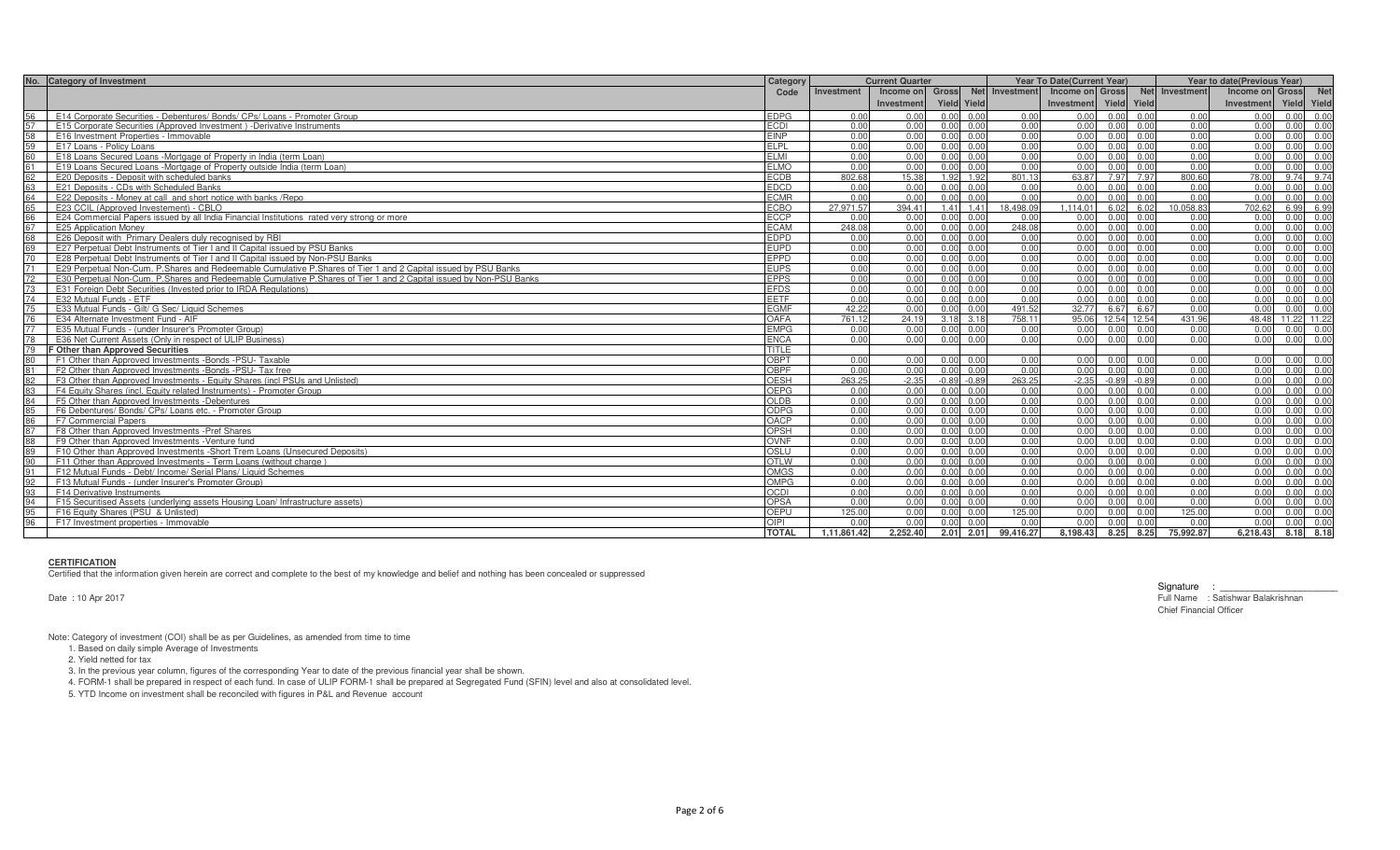| No. Category of Investment                                                                                               | Category     | <b>Current Quarter</b> |            |                   |                   |                                | Year To Date(Current Year) |      |                   | Year to date(Previous Year) |                 |             |                   |
|--------------------------------------------------------------------------------------------------------------------------|--------------|------------------------|------------|-------------------|-------------------|--------------------------------|----------------------------|------|-------------------|-----------------------------|-----------------|-------------|-------------------|
|                                                                                                                          | Code         | Investment             |            |                   |                   | Income on Gross Net Investment | Income on Gross            |      |                   | Net Investment              | Income on Gross |             | <b>Net</b>        |
|                                                                                                                          |              |                        | Investment | Yield Yield       |                   |                                | Investment                 |      | Yield Yield       |                             | Investment      | Yield Yield |                   |
| 56<br>E14 Corporate Securities - Debentures/ Bonds/ CPs/ Loans - Promoter Group                                          | <b>EDPG</b>  | 0.00                   | 0.00       | $0.00 \quad 0.00$ |                   | 0.00                           | 0.00                       |      | $0.00 \ 0.00$     | 0.00                        | 0.00            |             | 0.00 0.00         |
| E15 Corporate Securities (Approved Investment) -Derivative Instruments                                                   | <b>ECDI</b>  | 0.00                   | 0.00       | $0.00 \quad 0.00$ |                   | 0.00                           | 0.00                       |      | 0.00 0.00         | 0.00                        | 0.00            |             | 0.00 0.00         |
| E16 Investment Properties - Immovable                                                                                    | <b>EINP</b>  | 0.00                   | 0.00       |                   | $0.00 \quad 0.00$ | 0.00                           | 0.00                       | 0.00 | 0.00              | 0.00                        | 0.00            |             | 0.00 0.00         |
| E17 Loans - Policy Loans<br>59                                                                                           | <b>ELPL</b>  | 0.00                   | 0.00       |                   | $0.00 \quad 0.00$ | 0.00                           | 0.00                       | 0.00 | 0.00              | 0.00                        | 0.00            |             | 0.00 0.00         |
| 60<br>E18 Loans Secured Loans -Mortgage of Property in India (term Loan)                                                 | FI MI        | 0.00                   | 0.00       | $0.00 \quad 0.00$ |                   | 0.00                           | 0.00                       |      | $0.00 \quad 0.00$ | 0.00                        | 0.00            |             | 0.00 0.00         |
| E19 Loans Secured Loans -Mortgage of Property outside India (term Loan)                                                  | <b>ELMO</b>  | 0.00                   | 0.00       | $0.00 \quad 0.00$ |                   | 0.00                           | 0.00                       |      | 0.00 0.00         | 0.00                        | 0.00            |             | 0.00 0.00         |
| 62<br>E20 Deposits - Deposit with scheduled banks                                                                        | <b>ECDB</b>  | 802.68                 | 15.38      | 1.92 1.92         |                   | 801.13                         | 63.87                      |      | 7.97 7.97         | 800.60                      | 78.00           |             | 9.74 9.74         |
| E21 Deposits - CDs with Scheduled Banks<br>63                                                                            | <b>EDCD</b>  | 0.00                   | 0.00       |                   | $0.00 \quad 0.00$ | 0.00                           | 0.00                       |      | 0.00 0.00         | 0.00                        | 0.00            |             | 0.00 0.00         |
| 64<br>E22 Deposits - Money at call and short notice with banks / Repo                                                    | <b>ECMR</b>  | 0.00                   | 0.00       | $0.00 \quad 0.00$ |                   | 0.00                           | 0.00                       | 0.00 | 0.00              | 0.00                        | 0.00            |             | $0.00 \quad 0.00$ |
| E23 CCIL (Approved Investement) - CBLO                                                                                   | <b>ECBO</b>  | 27.971.57              | 394.41     |                   | 1.41 1.41         | 18,498.09                      | .114.01                    |      | $6.02\ 6.02$      | 10.058.83                   | 702.62          |             | 6.99 6.99         |
| E24 Commercial Papers issued by all India Financial Institutions rated very strong or more                               | <b>ECCP</b>  | 0.00                   | 0.00       | $0.00 \quad 0.00$ |                   | 0.00                           | 0.00                       |      | 0.00 0.00         | 0.00                        | 0.00            |             | 0.00 0.00         |
| <b>E25 Application Money</b><br>67                                                                                       | <b>ECAM</b>  | 248.08                 | 0.00       | $0.00 \quad 0.00$ |                   | 248.08                         | 0.00                       |      | 0.00 0.00         | 0.00                        | 0.00            |             | 0.00 0.00         |
| 68<br>E26 Deposit with Primary Dealers duly recognised by RBI                                                            | <b>EDPD</b>  | 0.00                   | 0.00       | $0.00 \quad 0.00$ |                   | 0.00                           | 0.00                       |      | 0.00 0.00         | 0.00                        | 0.00            |             | 0.00 0.00         |
| E27 Perpetual Debt Instruments of Tier I and II Capital issued by PSU Banks<br>69                                        | <b>EUPD</b>  | 0.00                   | 0.00       | $0.00 \quad 0.00$ |                   | 0.00                           | 0.00                       |      | 0.00 0.00         | 0.00                        | 0.00            |             | 0.00 0.00         |
| 70<br>E28 Perpetual Debt Instruments of Tier Land II Capital issued by Non-PSU Banks                                     | EPPD         | 0.00                   | 0.00       |                   | $0.00 \quad 0.00$ | 0.00                           | 0.00                       | 0.00 | 0.00              | 0.00                        | 0.00            |             | 0.00 0.00         |
| E29 Perpetual Non-Cum. P.Shares and Redeemable Cumulative P.Shares of Tier 1 and 2 Capital issued by PSU Banks<br>71     | <b>EUPS</b>  | 0.00                   | 0.00       | $0.00 \quad 0.00$ |                   | 0.00                           | 0.00                       | 0.00 | 0.00              | 0.00                        | 0.00            |             | 0.00 0.00         |
| E30 Perpetual Non-Cum. P.Shares and Redeemable Cumulative P.Shares of Tier 1 and 2 Capital issued by Non-PSU Banks<br>72 | <b>EPPS</b>  | 0.00                   | 0.00       | $0.00 \quad 0.00$ |                   | 0.00                           | 0.00                       |      | $0.00 \quad 0.00$ | 0.00                        | 0.00            | 0.00 0.00   |                   |
| E31 Foreign Debt Securities (Invested prior to IRDA Regulations)<br>73                                                   | <b>EFDS</b>  | 0.00                   | 0.00       | $0.00 \quad 0.00$ |                   | 0.00                           | 0.00                       |      | $0.00 \ 0.00$     | 0.00                        | 0.00            |             | 0.00 0.00         |
| 74<br>E32 Mutual Funds - ETF                                                                                             | EETF         | 0.00                   | 0.00       | $0.00 \quad 0.00$ |                   | 0.00                           | 0.00                       | 0.00 | 0.00              | 0.00                        | 0.00            |             | 0.00 0.00         |
| E33 Mutual Funds - Gilt/ G Sec/ Liquid Schemes<br>75                                                                     | <b>EGMF</b>  | 42.22                  | 0.00       | $0.00 \quad 0.00$ |                   | 491.52                         | 32.77                      |      | 6.67 6.67         | 0.00                        | 0.00            |             | $0.00 \quad 0.00$ |
| 76<br>E34 Alternate Investment Fund - AIF                                                                                | OAFA         | 761.12                 | 24.19      | 3.18 3.18         |                   | 758.11                         | 95.06                      |      | 12.54 12.54       | 431.96                      | 48.48           | 11.22 11.22 |                   |
| E35 Mutual Funds - (under Insurer's Promoter Group)                                                                      | <b>EMPG</b>  | 0.00                   | 0.00       |                   | $0.00 \quad 0.00$ | 0.00                           | 0.00                       | 0.00 | 0.00              | 0.00                        | 0.00            |             | 0.00 0.00         |
| E36 Net Current Assets (Only in respect of ULIP Business)<br>78                                                          | <b>ENCA</b>  | 0.00                   | 0.00       | $0.00 \quad 0.00$ |                   | 0.00                           | 0.00                       |      | $0.00 \quad 0.00$ | 0.00                        | 0.00            |             | $0.00 \ 0.00$     |
| F Other than Approved Securities<br>79                                                                                   | TITLE        |                        |            |                   |                   |                                |                            |      |                   |                             |                 |             |                   |
| F1 Other than Approved Investments -Bonds -PSU- Taxable<br>80                                                            | <b>OBPT</b>  | 0.00                   | 0.00       | 0.00 0.00         |                   | 0.00                           | 0.00                       |      | 0.00 0.00         | 0.00                        | 0.00            | 0.00 0.00   |                   |
| F2 Other than Approved Investments -Bonds -PSU- Tax free                                                                 | <b>OBPF</b>  | 0.00                   | 0.00       | $0.00 \quad 0.00$ |                   | 0.00                           | 0.00                       |      | 0.00 0.00         | 0.00                        | 0.00            |             | 0.00 0.00         |
| F3 Other than Approved Investments - Equity Shares (incl PSUs and Unlisted)<br>82                                        | <b>OESH</b>  | 263.25                 | $-2.35$    | $-0.89 - 0.89$    |                   | 263.25                         | $-2.35$                    |      | $-0.89 - 0.89$    | 0.00                        | 0.00            |             | 0.00 0.00         |
| 83<br>F4 Equity Shares (incl. Equity related Instruments) - Promoter Group                                               | <b>OEPG</b>  | 0.00                   | 0.00       |                   | $0.00 \quad 0.00$ | 0.00                           | 0.00                       | 0.00 | 0.00              | 0.00                        | 0.00            | 0.00        | 0.00              |
| 84<br>F5 Other than Approved Investments -Debentures                                                                     | OLDB         | 0.00                   | 0.00       | $0.00 \quad 0.00$ |                   | 0.00                           | 0.00                       |      | 0.00 0.00         | 0.00                        | 0.00            |             | 0.00 0.00         |
| F6 Debentures/ Bonds/ CPs/ Loans etc. - Promoter Group                                                                   | <b>ODPG</b>  | 0.00                   | 0.00       | $0.00 \quad 0.00$ |                   | 0.00                           | 0.00                       | 0.00 | 0.00              | 0.00                        | 0.00            |             | 0.00 0.00         |
| F7 Commercial Papers<br>86                                                                                               | OACP         | 0.00                   | 0.00       | $0.00 \quad 0.00$ |                   | 0.00                           | 0.00                       |      | 0.00 0.00         | 0.00                        | 0.00            |             | 0.00 0.00         |
| 87<br>F8 Other than Approved Investments -Pref Shares                                                                    | OPSH         | 0.00                   | 0.00       | $0.00 \quad 0.00$ |                   | 0.00                           | 0.00                       | 0.00 | 0.00              | 0.00                        | 0.00            |             | 0.00 0.00         |
| 88<br>F9 Other than Approved Investments - Venture fund                                                                  | OVNF         | 0.00                   | 0.00       | $0.00 \quad 0.00$ |                   | 0.00                           | 0.00                       |      | $0.00 \ 0.00$     | 0.00                        | 0.00            |             | $0.00 \ 0.00$     |
| 89<br>F10 Other than Approved Investments -Short Trem Loans (Unsecured Deposits)                                         | OSI U        | 0.00                   | 0.00       |                   | 0.00 0.00         | 0.00                           | 0.00                       | 0.00 | 0.00              | 0.00                        | 0.00            | 0.00        | 0.00              |
| F11 Other than Approved Investments - Term Loans (without charge)<br>90                                                  | <b>OTLW</b>  | 0.00                   | 0.00       | $0.00 \quad 0.00$ |                   | 0.00                           | 0.00                       | 0.00 | 0.00              | 0.00                        | 0.00            |             | 0.00 0.00         |
| F12 Mutual Funds - Debt/ Income/ Serial Plans/ Liquid Schemes<br>91                                                      | <b>OMGS</b>  | 0.00                   | 0.00       | 0.00000           |                   | 0.00                           | 0.00                       |      | 0.000000          | 0.00                        | 0.00            |             | 0.00 0.00         |
| 92<br>F13 Mutual Funds - (under Insurer's Promoter Group)                                                                | OMPG         | 0.00                   | 0.00       | $0.00 \quad 0.00$ |                   | 0.00                           | 0.00                       |      | $0.00 \ 0.00$     | 0.00                        | 0.00            |             | 0.00 0.00         |
| F14 Derivative Instruments<br>93                                                                                         | CDI          | 0.00                   | 0.00       |                   | 0.000000          | 0.00                           | 0.00                       | 0.00 | 0.00              | 0.00                        | 0.00            | 0.00        | 0.00              |
| F15 Securitised Assets (underlying assets Housing Loan/ Infrastructure assets)<br>94                                     | <b>OPSA</b>  | 0.00                   | 0.00       | $0.00 \quad 0.00$ |                   | 0.00                           | 0.00                       |      | $0.00 \ 0.00$     | 0.00                        | 0.00            |             | $0.00 \quad 0.00$ |
| 95<br>F16 Equity Shares (PSU & Unlisted)                                                                                 | OFPU         | 125.00                 | 0.00       | $0.00 \quad 0.00$ |                   | 125.00                         | 0.00                       |      | $0.00 \quad 0.00$ | 125.00                      | 0.00            |             | 0.00 0.00         |
| 96<br>F17 Investment properties - Immovable                                                                              | OIPI         | 0.00                   | 0.00       | $0.00 \quad 0.00$ |                   | 0.00                           | 0.00                       |      | $0.00 \ 0.00$     | 0.00                        | 0.00            |             | 0.00 0.00         |
|                                                                                                                          | <b>TOTAL</b> | 1.11.861.42            | 2.252.40   | 2.01 2.01         |                   | 99,416.27                      | 8,198.43                   |      | 8.25 8.25         | 75,992.87                   | 6.218.43        | 8.18 8.18   |                   |

### **CERTIFICATION**

Certified that the information given herein are correct and complete to the best of my knowledge and belief and nothing has been concealed or suppressed

Date : 10 Apr 2017

Signature : \_\_\_\_\_\_\_\_\_\_\_\_\_\_\_\_\_\_\_\_\_\_ Full Name : Satishwar Balakrishnan Chief Financial Officer

Note: Category of investment (COI) shall be as per Guidelines, as amended from time to time

1. Based on daily simple Average of Investments

2. Yield netted for tax

3. In the previous year column, figures of the corresponding Year to date of the previous financial year shall be shown.

4. FORM-1 shall be prepared in respect of each fund. In case of ULIP FORM-1 shall be prepared at Segregated Fund (SFIN) level and also at consolidated level.

5. YTD Income on investment shall be reconciled with figures in P&L and Revenue account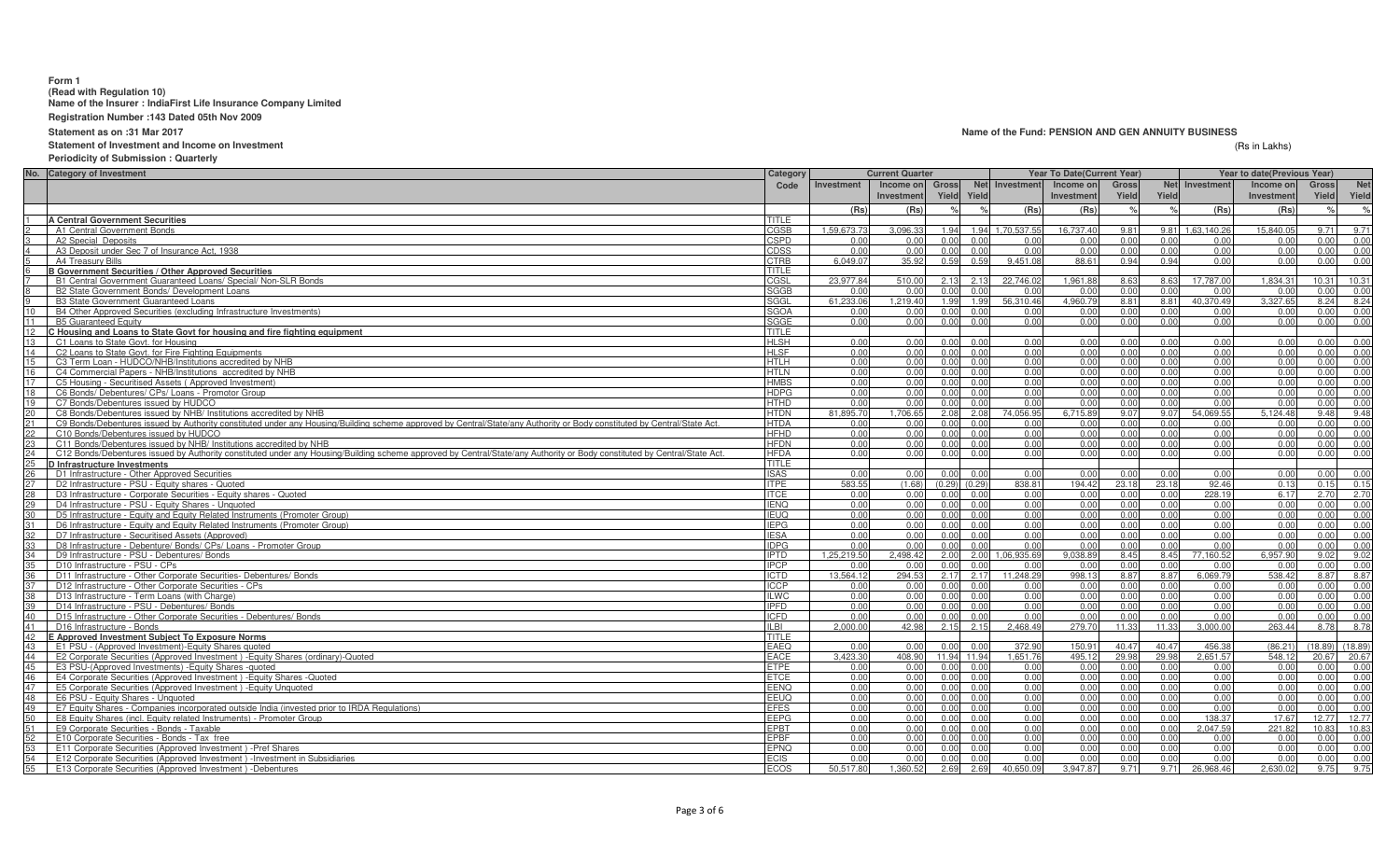## **Form 1**

**(Read with Regulation 10) Name of the Insurer : IndiaFirst Life Insurance Company Limited**

**Registration Number :143 Dated 05th Nov 2009**

**Statement as on :31 Mar 2017**

# **Statement of Investment and Income on Investment**

**Periodicity of Submission : Quarterly**

| No. Category of Investment                                                                                                                                                    | Category     |             | <b>Current Quarter</b> |       |                   |                  | <b>Year To Date (Current Year)</b> |       |            | Year to date(Previous Year) |           |              |            |
|-------------------------------------------------------------------------------------------------------------------------------------------------------------------------------|--------------|-------------|------------------------|-------|-------------------|------------------|------------------------------------|-------|------------|-----------------------------|-----------|--------------|------------|
|                                                                                                                                                                               | Code         | Investment  | Income on              | Gross |                   | Net Investment   | Income on                          | Gross | <b>Net</b> | Investment                  | Income on | <b>Gross</b> | <b>Net</b> |
|                                                                                                                                                                               |              |             | Investment             |       | Yield Yield       |                  | Investment                         | Yield | Yield      |                             | Investmen | Yield        | Yield      |
|                                                                                                                                                                               |              | (Rs)        | (Rs)                   |       |                   | (Rs)             | (Rs)                               |       |            | (Rs)                        | (Rs)      |              | $\%$       |
| <b>A Central Government Securities</b>                                                                                                                                        | TITLE        |             |                        |       |                   |                  |                                    |       |            |                             |           |              |            |
| A1 Central Government Bonds                                                                                                                                                   | CGSB         | 1.59.673.73 | 3,096.33               | 1.94  |                   | 1.94 1.70.537.55 | 16.737.40                          | 9.81  | 9.81       | 1.63.140.26                 | 15.840.0  | 9.71         | 9.71       |
| A2 Special Deposits                                                                                                                                                           | CSPD         | 0.00        | 0.00                   | 0.00  | 0.00              | 0.00             | 0.00                               | 0.00  | 0.00       | 0.00                        | 0.00      | 0.00         | 0.00       |
| A3 Deposit under Sec 7 of Insurance Act, 1938                                                                                                                                 | CDSS         | 0.00        | 0.00                   | 0.00  | 0.00              | 0.00             | 0.00                               | 0.00  | 0.0(       | 0.00                        | 0.00      | 0.00         | 0.00       |
| A4 Treasury Bills                                                                                                                                                             | CTRB         | 6.049.07    | 35.92                  | 0.59  | 0.59              | 9.451.08         | 88.61                              | 0.94  | 0.94       | 0.00                        | 0.00      | 0.00         | 0.00       |
| <b>B Government Securities / Other Approved Securities</b>                                                                                                                    | TITLE        |             |                        |       |                   |                  |                                    |       |            |                             |           |              |            |
| B1 Central Government Guaranteed Loans/ Special/ Non-SLR Bonds                                                                                                                | CGSL         | 23.977.84   | 510.00                 | 2.13  | 2.13              | 22.746.02        | 1.961.88                           | 8.63  | 8.63       | 17,787.00                   | 1.834.3   | 10.31        | 10.31      |
| B2 State Government Bonds/ Development Loans                                                                                                                                  | SGGB         | 0.00        | 0.00                   | 0.00  | 0.00              | 0.00             | 0.00                               | 0.00  | 0.00       | 0.00                        | 0.00      | 0.00         | 0.00       |
| <b>B3 State Government Guaranteed Loans</b>                                                                                                                                   | SGGL         | 61.233.06   | 1.219.40               | 1.99  | 1.99              | 56.310.46        | 4.960.79                           | 8.81  | 8.81       | 40.370.49                   | 3.327.6   | 8.24         | 8.24       |
| 10<br>B4 Other Approved Securities (excluding Infrastructure Investments)                                                                                                     | <b>SGOA</b>  | 0.00        | 0.00                   | 0.00  | 0.00              | 0.00             | 0.00                               | 0.00  | 0.00       | 0.00                        | 0.00      | 0.00         | 0.00       |
| 11<br><b>B5 Guaranteed Equity</b>                                                                                                                                             | SGGE         | 0.00        | 0.00                   | 0.00  | 0.00              | 0.00             | 0.00                               | 0.00  | 0.00       | 0.00                        | 0.00      | 0.00         | 0.00       |
| 12<br>C Housing and Loans to State Govt for housing and fire fighting equipment                                                                                               | <b>TITLE</b> |             |                        |       |                   |                  |                                    |       |            |                             |           |              |            |
| 13<br>C1 Loans to State Govt, for Housing                                                                                                                                     | <b>HLSH</b>  | 0.00        | 0.00                   | 0.00  | 0.00              | 0.00             | 0.00                               | 0.00  | 0.00       | 0.00                        | 0.00      | 0.00         | 0.00       |
| 14<br>C2 Loans to State Govt, for Fire Fighting Equipments                                                                                                                    | <b>HLSF</b>  | 0.00        | 0.00                   | 0.00  | 0.00              | 0.00             | 0.00                               | 0.00  | 0.00       | 0.00                        | 0.00      | 0.00         | 0.00       |
| 15<br>C3 Term Loan - HUDCO/NHB/Institutions accredited by NHB                                                                                                                 | <b>HTLH</b>  | 0.00        | 0.00                   | 0.00  | 0.00              | 0.00             | 0.00                               | 0.00  | 0.00       | 0.00                        | 0.00      | 0.00         | 0.00       |
| 16<br>C4 Commercial Papers - NHB/Institutions accredited by NHB                                                                                                               | <b>HTLN</b>  | 0.00        | 0.00                   | 0.00  | 0.00              | 0.00             | 0.00                               | 0.00  | 0.00       | 0.00                        | 0.00      | 0.00         | 0.00       |
| 17<br>C5 Housing - Securitised Assets (Approved Investment)                                                                                                                   | <b>HMBS</b>  | 0.00        | 0.00                   | 0.00  | 0.00              | 0.00             | 0.00                               | 0.00  | 0.00       | 0.00                        | 0.00      | 0.00         | 0.00       |
| 18<br>C6 Bonds/ Debentures/ CPs/ Loans - Promotor Group                                                                                                                       | <b>HDPG</b>  | 0.00        | 0.00                   | 0.00  | 0.00              | 0.00             | 0.00                               | 0.00  | 0.00       | 0.00                        | 0.00      | 0.00         | 0.00       |
| 19<br>C7 Bonds/Debentures issued by HUDCO                                                                                                                                     | <b>HTHD</b>  | 0.00        | 0.00                   | 0.00  | 0.00              | 0.00             | 0.00                               | 0.00  | 0.00       | 0.00                        | 0.00      | 0.00         | 0.00       |
| 20<br>C8 Bonds/Debentures issued by NHB/ Institutions accredited by NHB                                                                                                       | <b>HTDN</b>  | 81,895.70   | 1,706.65               | 2.08  | 2.08              | 74,056.95        | 6,715.89                           | 9.07  | 9.07       | 54,069.55                   | 5,124.48  | 9.48         | 9.48       |
| 21<br>C9 Bonds/Debentures issued by Authority constituted under any Housing/Building scheme approved by Central/State/any Authority or Body constituted by Central/State Act. | <b>HTDA</b>  | 0.00        | 0.00                   |       | 0.00 0.00         | 0.00             | 0.00                               | 0.00  | 0.00       | 0.00                        | 0.00      | 0.00         | 0.00       |
| 22<br>C10 Bonds/Debentures issued by HUDCO                                                                                                                                    | <b>HFHD</b>  | 0.00        | 0.00                   | 0.00  | 0.00              | 0.00             | 0.00                               | 0.00  | 0.00       | 0.00                        | 0.00      | 0.00         | 0.00       |
| 23<br>C11 Bonds/Debentures issued by NHB/ Institutions accredited by NHB                                                                                                      | <b>HFDN</b>  | 0.00        | 0.00                   |       | $0.00 \ 0.00$     | 0.00             | 0.00                               | 0.00  | 0.00       | 0.00                        | 0.00      | 0.00         | 0.00       |
| 24<br>C12 Bonds/Debentures issued by Authority constituted under any Housing/Building scheme approved by Central/State/any Authority or Body constituted by Central/State Act | <b>HFDA</b>  | 0.00        | 0.00                   | 0.00  | 0.00              | 0.00             | 0.00                               | 0.00  | 0.00       | 0.00                        | 0.00      | 0.00         | 0.00       |
| 25<br>D Infrastructure Investments                                                                                                                                            | TITI F       |             |                        |       |                   |                  |                                    |       |            |                             |           |              |            |
| 26<br>D1 Infrastructure - Other Approved Securities                                                                                                                           | <b>ISAS</b>  | 0.00        | 0.00                   |       | 0.00 0.00         | 0.00             | 0.00                               | 0.00  | 0.00       | 0.00                        | 0.00      | 0.00         | 0.00       |
| 27<br>D2 Infrastructure - PSU - Equity shares - Quoted                                                                                                                        | <b>ITPF</b>  | 583.55      | (1.68)                 |       | $(0.29)$ $(0.29)$ | 838.81           | 194.42                             | 23.18 | 23.18      | 92.46                       | 0.13      | 0.15         | 0.15       |
| 28<br>D3 Infrastructure - Corporate Securities - Equity shares - Quoted                                                                                                       | <b>ITCE</b>  | 0.00        | 0.00                   |       | 0.00 0.00         | 0.00             | 0.00                               | 0.00  | 0.00       | 228.19                      | 6.17      | 2.70         | 2.70       |
| 29<br>D4 Infrastructure - PSU - Equity Shares - Unquoted                                                                                                                      | <b>IENQ</b>  | 0.00        | 0.00                   |       | 0.00 0.00         | 0.00             | 0.00                               | 0.00  | 0.00       | 0.00                        | 0.00      | 0.00         | 0.00       |
| 30<br>D5 Infrastructure - Equity and Equity Related Instruments (Promoter Group)                                                                                              | <b>IEUO</b>  | 0.00        | 0.00                   | 0.00  | 0.00              | 0.00             | 0.00                               | 0.00  | 0.00       | 0.00                        | 0.00      | 0.00         | 0.00       |
| D6 Infrastructure - Equity and Equity Related Instruments (Promoter Group)<br>31                                                                                              | <b>IEPG</b>  | 0.00        | 0.00                   | 0.00  | 0.00              | 0.00             | 0.00                               | 0.00  | 0.00       | 0.00                        | 0.00      | 0.00         | 0.00       |
| 32<br>D7 Infrastructure - Securitised Assets (Approved)                                                                                                                       | <b>IESA</b>  | 0.00        | 0.00                   | 0.00  | 0.00              | 0.00             | 0.00                               | 0.00  | 0.00       | 0.00                        | 0.00      | 0.00         | 0.00       |
| D8 Infrastructure - Debenture/ Bonds/ CPs/ Loans - Promoter Group                                                                                                             | <b>IDPG</b>  | 0.00        | 0.00                   | 0.00  | 0.00              | 0.00             | 0.00                               | 0.00  | 0.00       | 0.00                        | 0.00      | 0.00         | 0.00       |
| 34<br>D9 Infrastructure - PSU - Debentures/ Bonds                                                                                                                             | <b>IPTD</b>  | 1.25.219.50 | 2,498.42               | 2.00  | 2.00              | 1.06.935.69      | 9.038.89                           | 8.45  | 8.45       | 77.160.52                   | 6,957.90  | 9.02         | 9.02       |
| 35<br>D10 Infrastructure - PSU - CPs                                                                                                                                          | <b>IPCP</b>  | 0.00        | 0.00                   | 0.00  | 0.00              | 0.00             | 0.00                               | 0.00  | 0.00       | 0.00                        | 0.0(      | 0.00         | 0.00       |
| D11 Infrastructure - Other Corporate Securities- Debentures/ Bonds                                                                                                            | <b>ICTD</b>  | 13,564.12   | 294.53                 | 2.17  | 2.17              | 11.248.29        | 998.13                             | 8.87  | 8.87       | 6.069.7                     | 538.4     | 8.87         | 8.87       |
| D12 Infrastructure - Other Corporate Securities - CPs                                                                                                                         | <b>ICCP</b>  | 0.00        | 0.00                   | 0.00  | 0.00              | 0.00             | 0.00                               | 0.00  | 0.00       | 0.00                        | 0.00      | 0.00         | 0.00       |
| D13 Infrastructure - Term Loans (with Charge)<br>38                                                                                                                           | <b>ILWC</b>  | 0.00        | 0.00                   | 0.00  | 0.00              | 0.00             | 0.00                               | 0.00  | 0.00       | 0.00                        | 0.00      | 0.00         | 0.00       |
| 39<br>D14 Infrastructure - PSU - Debentures/ Bonds                                                                                                                            | <b>IPFD</b>  | 0.00        | 0.00                   | 0.00  | 0.00              | 0.00             | 0.00                               | 0.00  | 0.00       | 0.00                        | 0.00      | 0.00         | 0.00       |
| 40<br>D15 Infrastructure - Other Corporate Securities - Debentures/ Bonds                                                                                                     | <b>ICFD</b>  | 0.00        | 0.00                   | 0.00  | 0.00              | 0.00             | 0.00                               | 0.00  | 0.00       | 0.00                        | 0.00      | 0.00         | 0.00       |
| 41<br>D16 Infrastructure - Bonds                                                                                                                                              | ILBI         | 2,000.00    | 42.98                  | 2.15  | 2.15              | 2,468.49         | 279.70                             | 11.33 | 11.33      | 3,000.00                    | 263.44    | 8.78         | 8.78       |
| 42<br>E Approved Investment Subject To Exposure Norms                                                                                                                         | <b>TITLE</b> |             |                        |       |                   |                  |                                    |       |            |                             |           |              |            |
| 43<br>E1 PSU - (Approved Investment)-Equity Shares quoted                                                                                                                     | <b>EAEQ</b>  | 0.00        | 0.00                   | 0.00  | 0.00              | 372.90           | 150.91                             | 40.47 | 40.4       | 456.3                       | (86.21)   | (18.89)      | (18.89)    |
| 44<br>E2 Corporate Securities (Approved Investment) - Equity Shares (ordinary)-Quoted                                                                                         | EACE         | 3,423.30    | 408.90                 |       | 11.94 11.94       | 1,651.76         | 495.12                             | 29.98 | 29.98      | 2,651.57                    | 548.1     | 20.67        | 20.67      |
| 45<br>E3 PSU-(Approved Investments) - Equity Shares - quoted                                                                                                                  | <b>ETPE</b>  | 0.00        | 0.00                   | 0.00  | 0.00              | 0.00             | 0.00                               | 0.00  | 0.00       | 0.00                        | 0.00      | 0.00         | 0.00       |
| 46<br>E4 Corporate Securities (Approved Investment) - Equity Shares - Quoted                                                                                                  | <b>ETCE</b>  | 0.00        | 0.00                   | 0.00  | 0.00              | 0.00             | 0.00                               | 0.00  | 0.00       | 0.00                        | 0.00      | 0.00         | 0.00       |
| 47<br>E5 Corporate Securities (Approved Investment) - Equity Unquoted                                                                                                         | EENO         | 0.00        | 0.00                   | 0.00  | 0.00              | 0.00             | 0.00                               | 0.00  | 0.00       | 0.00                        | 0.00      | 0.00         | 0.00       |
| 48<br>E6 PSU - Equity Shares - Unquoted                                                                                                                                       | EEUQ         | 0.00        | 0.00                   | 0.00  | 0.00              | 0.00             | 0.00                               | 0.00  | 0.00       | 0.00                        | 0.00      | 0.00         | 0.00       |
| E7 Equity Shares - Companies incorporated outside India (invested prior to IRDA Regulations)<br>49                                                                            | <b>EFES</b>  | 0.00        | 0.00                   | 0.00  | 0.00              | 0.00             | 0.00                               | 0.00  | 0.00       | 0.00                        | 0.00      | 0.00         | 0.00       |
| 50<br>E8 Equity Shares (incl. Equity related Instruments) - Promoter Group                                                                                                    | EEPG         | 0.00        | 0.00                   | 0.00  | 0.00              | 0.00             | 0.00                               | 0.00  | 0.00       | 138.37                      | 17.67     | 12.77        | 12.77      |
| 51<br>E9 Corporate Securities - Bonds - Taxable                                                                                                                               | <b>EPBT</b>  | 0.00        | 0.00                   | 0.00  | 0.00              | 0.00             | 0.00                               | 0.00  | 0.00       | 2.047.59                    | 221.82    | 10.83        | 10.83      |
| 52<br>E10 Corporate Securities - Bonds - Tax free                                                                                                                             | <b>EPBF</b>  | 0.00        | 0.00                   | 0.00  | 0.00              | 0.00             | 0.00                               | 0.00  | 0.00       | 0.00                        | 0.00      | 0.00         | 0.00       |
| 53<br>E11 Corporate Securities (Approved Investment) - Pref Shares                                                                                                            | <b>EPNQ</b>  | 0.00        | 0.00                   | 0.00  | 0.00              | 0.00             | 0.00                               | 0.00  | 0.00       | 0.00                        | 0.00      | 0.00         | 0.00       |
| 54<br>E12 Corporate Securities (Approved Investment) - Investment in Subsidiaries                                                                                             | <b>ECIS</b>  | 0.00        | 0.00                   | 0.00  | 0.00              | 0.00             | 0.00                               | 0.00  | 0.00       | 0.00                        | 0.00      | 0.00         | 0.00       |
| 55<br>E13 Corporate Securities (Approved Investment) - Debentures                                                                                                             | <b>ECOS</b>  | 50.517.80   | 1.360.52               |       | 2.69 2.69         | 40.650.09        | 3.947.87                           | 9 7 1 | 9.71       | 26.968.46                   | 2.630.02  | 9.75         | 9.75       |

#### **Name of the Fund: PENSION AND GEN ANNUITY BUSINESS**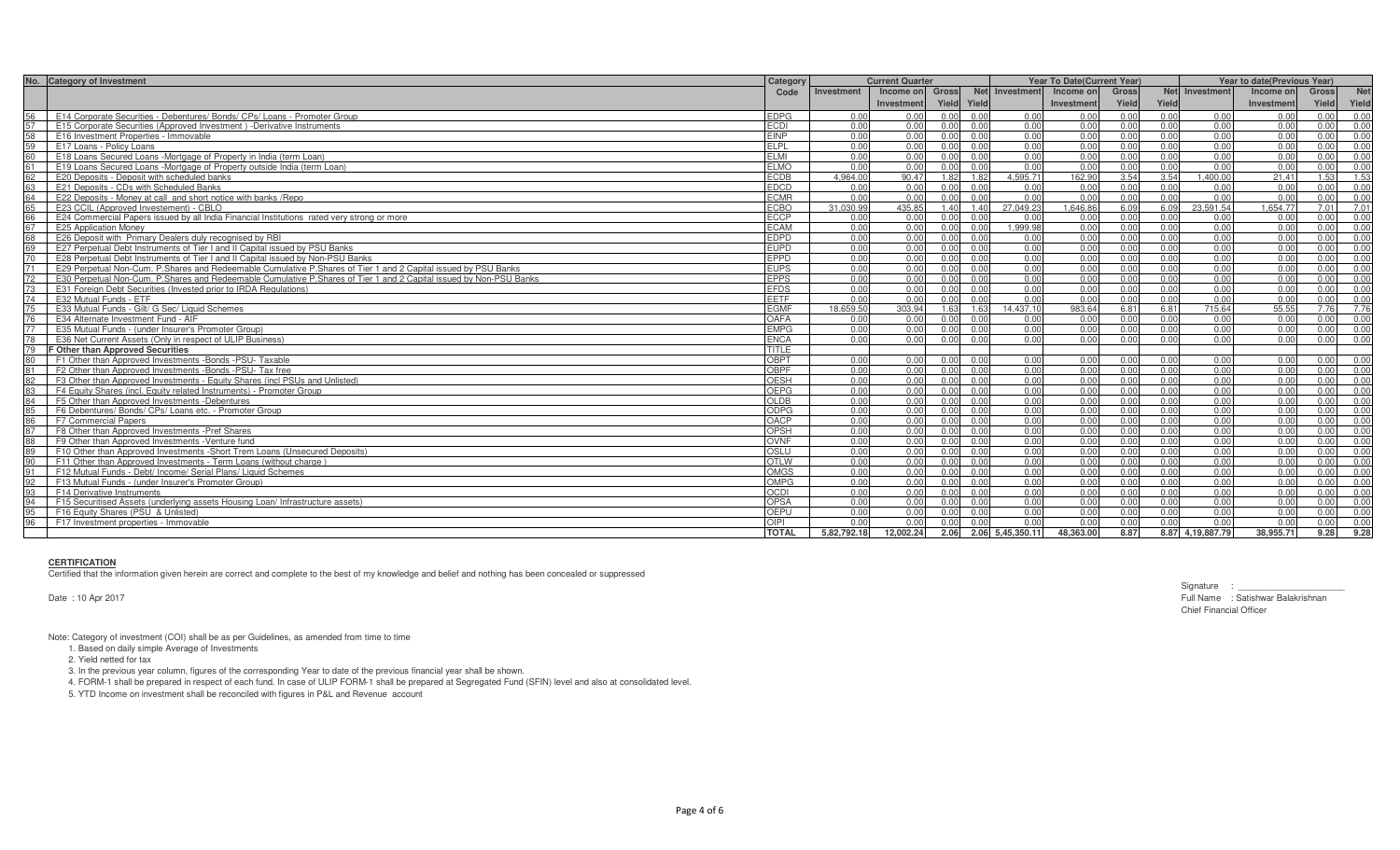|    | No. Category of Investment                                                                                         | Category     | <b>Current Quarter</b> |                 |       |                |                  | <b>Year To Date (Current Year)</b> |              |       | <b>Year to date(Previous Year)</b> |            |       |            |  |
|----|--------------------------------------------------------------------------------------------------------------------|--------------|------------------------|-----------------|-------|----------------|------------------|------------------------------------|--------------|-------|------------------------------------|------------|-------|------------|--|
|    |                                                                                                                    | Code         | Investment             | Income on Gross |       |                | Net Investment   | Income on                          | <b>Gross</b> |       | Net Investment                     | Income on  | Gross | <b>Net</b> |  |
|    |                                                                                                                    |              |                        | Investment      | Yield | Yield          |                  | Investment                         | Yield        | Yield |                                    | Investment | Yield | Yield      |  |
| 56 | E14 Corporate Securities - Debentures/ Bonds/ CPs/ Loans - Promoter Group                                          | EDPG         | 0.00                   | 0.00            | 0.00  | 0.00           | 0.00             | 0.00                               | 0.00         | 0.00  | 0.00                               | 0.00       | 0.00  | 0.00       |  |
|    | E15 Corporate Securities (Approved Investment) - Derivative Instruments                                            | ECDI         | 0.00                   | 0.00            | 0.00  | 0.00           | 0.00             | 0.00                               | 0.00         | 0.00  | 0.00                               | 0.00       | 0.00  | 0.00       |  |
| 58 | E16 Investment Properties - Immovable                                                                              | <b>EINP</b>  | 0.00                   | 0.00            | 0.00  | 0.00           | 0.00             | 0.00                               | 0.00         | 0.00  | 0.00                               | 0.00       | 0.00  | 0.00       |  |
| 59 | E17 Loans - Policy Loans                                                                                           | <b>ELPL</b>  | 0.00                   | 0.00            | 0.00  | 0.00           | 0.00             | 0.00                               | 0.00         | 0.00  | 0.00                               | 0.00       | 0.00  | 0.00       |  |
| 60 | E18 Loans Secured Loans -Mortgage of Property in India (term Loan)                                                 | FI MI        | 0.00                   | 0.00            | 0.00  | 0.00           | 0.00             | 0.00                               | 0.00         | 0.00  | 0.00                               | 0.00       | 0.00  | 0.00       |  |
| 61 | E19 Loans Secured Loans -Mortgage of Property outside India (term Loan)                                            | <b>ELMO</b>  | 0.00                   | 0.00            | 0.00  | 0.00           | 0.00             | 0.00                               | 0.00         | 0.00  | 0.00                               | 0.00       | 0.00  | 0.00       |  |
| 62 | E20 Deposits - Deposit with scheduled banks                                                                        | ECDB         | 4.964.00               | 90.47           | 1.82  | 1.82           | 4.595.71         | 162.90                             | 3.54         | 3.54  | 1.400.00                           | 21.41      | 1.53  | 1.53       |  |
| 63 | E21 Deposits - CDs with Scheduled Banks                                                                            | <b>EDCD</b>  | 0.00                   | 0.00            | 0.00  | 0.00           | 0.00             | 0.00                               | 0.00         | 0.00  | 0.00                               | 0.00       | 0.00  | 0.00       |  |
| 64 | E22 Deposits - Money at call and short notice with banks / Repo                                                    | <b>FCMR</b>  | 0.00                   | 0.00            | 0.00  | 0.00           | 0.00             | 0.00                               | 0.00         | 0.00  | 0.00                               | 0.00       | 0.00  | 0.00       |  |
| 65 | E23 CCIL (Approved Investement) - CBLO                                                                             | <b>ECBO</b>  | 31.030.99              | 435.85          | 1.40  | 1.40           | 27.049.23        | 1.646.86                           | 6.09         | 6.09  | 23.591.54                          | 1.654.77   | 7.01  | 7.01       |  |
| 66 | E24 Commercial Papers issued by all India Financial Institutions rated very strong or more                         | ECCP         | 0.00                   | 0.00            | 0.00  | 0.00           | 0.00             | 0.00                               | 0.00         | 0.00  | 0.00                               | 0.00       | 0.00  | 0.00       |  |
| 67 | <b>E25 Application Money</b>                                                                                       | <b>FCAM</b>  | 0.00                   | 0.00            | 0.00  | 0.00           | 1.999.98         | 0.00                               | 0.00         | 0.00  | 0.00                               | 0.00       | 0.00  | 0.00       |  |
| 68 | E26 Deposit with Primary Dealers duly recognised by RBI                                                            | <b>EDPD</b>  | 0.00                   | 0.00            | 0.00  | 0.00           | 0.00             | 0.00                               | 0.00         | 0.00  | 0.00                               | 0.00       | 0.00  | 0.00       |  |
| 69 | E27 Perpetual Debt Instruments of Tier I and II Capital issued by PSU Banks                                        | <b>EUPD</b>  | 0.00                   | 0.00            | 0.00  | 0.00           | 0.00             | 0.00                               | 0.00         | 0.00  | 0.00                               | 0.00       | 0.00  | 0.00       |  |
| 70 | E28 Perpetual Debt Instruments of Tier Land II Capital issued by Non-PSU Banks                                     | <b>EPPD</b>  | 0.00                   | 0.00            | 0.00  | 0.00           | 0.00             | 0.00                               | 0.00         | 0.00  | 0.00                               | 0.00       | 0.00  | 0.00       |  |
| 71 | E29 Perpetual Non-Cum. P.Shares and Redeemable Cumulative P.Shares of Tier 1 and 2 Capital issued by PSU Banks     | <b>EUPS</b>  | 0.00                   | 0.00            | 0.00  | 0.00           | 0.00             | 0.00                               | 0.00         | 0.00  | 0.00                               | 0.00       | 0.00  | 0.00       |  |
| 72 | E30 Perpetual Non-Cum. P.Shares and Redeemable Cumulative P.Shares of Tier 1 and 2 Capital issued by Non-PSU Banks | <b>EPPS</b>  | 0.00                   | 0.00            | 0.00  | 0.00           | 0.00             | 0.00                               | 0.00         | 0.00  | 0.00                               | 0.00       | 0.00  | 0.00       |  |
| 73 | E31 Foreign Debt Securities (Invested prior to IRDA Regulations)                                                   | <b>EFDS</b>  | 0.00                   | 0.00            | 0.00  | 0.00           | 0.00             | 0.00                               | 0.00         | 0.00  | 0.00                               | 0.00       | 0.00  | 0.00       |  |
| 74 | E32 Mutual Funds - ETF                                                                                             | EETF         | 0.00                   | 0.00            | 0.00  | 0.00           | 0.00             | 0.00                               | 0.00         | 0.00  | 0.00                               | 0.00       | 0.00  | 0.00       |  |
| 75 | E33 Mutual Funds - Gilt/ G Sec/ Liquid Schemes                                                                     | EGMF         | 18.659.50              | 303.94          | 1.63  | 1.63           | 14.437.10        | 983.64                             | 6.81         | 6.81  | 715.64                             | 55.55      | 7.76  | 7.76       |  |
| 76 | E34 Alternate Investment Fund - AIF                                                                                | OAFA         | 0.00                   | 0.00            | 0.00  | 0.00           | 0.00             | 0.00                               | 0.00         | 0.00  | 0.00                               | 0.00       | 0.00  | 0.00       |  |
| 77 | E35 Mutual Funds - (under Insurer's Promoter Group)                                                                | EMPG         | 0.00                   | 0.00            | 0.00  | 0.00           | 0.00             | 0.00                               | 0.00         | 0.00  | 0.00                               | 0.00       | 0.00  | 0.00       |  |
| 78 | E36 Net Current Assets (Only in respect of ULIP Business)                                                          | <b>ENCA</b>  | 0.00                   | 0.00            | 0.00  | 0.00           | 0.00             | 0.00                               | 0.00         | 0.00  | 0.00                               | 0.00       | 0.00  | 0.00       |  |
| 79 | F Other than Approved Securities                                                                                   | <b>TITLE</b> |                        |                 |       |                |                  |                                    |              |       |                                    |            |       |            |  |
| 80 | F1 Other than Approved Investments -Bonds -PSU- Taxable                                                            | OBPT         | 0.00                   | 0.00            | 0.00  | 0.00           | 0.00             | 0.00                               | 0.00         | 0.00  | 0.00                               | 0.00       | 0.00  | 0.00       |  |
|    | F2 Other than Approved Investments -Bonds -PSU- Tax free                                                           | OBPF         | 0.00                   | 0.00            | 0.00  | 0.00           | 0.00             | 0.00                               | 0.00         | 0.00  | 0.00                               | 0.00       | 0.00  | 0.00       |  |
| 82 | F3 Other than Approved Investments - Equity Shares (incl PSUs and Unlisted)                                        | <b>OESH</b>  | 0.00                   | 0.00            | 0.00  | 0.00           | 0.00             | 0.00                               | 0.00         | 0.00  | 0.00                               | 0.00       | 0.00  | 0.00       |  |
| 83 | F4 Equity Shares (incl. Equity related Instruments) - Promoter Group                                               | <b>OEPG</b>  | 0.00                   | 0.00            | 0.00  | 0.00           | 0.00             | 0.00                               | 0.00         | 0.00  | 0.00                               | 0.00       | 0.00  | 0.00       |  |
| 84 | F5 Other than Approved Investments -Debentures                                                                     | OLDB         | 0.00                   | 0.00            | 0.00  | 0.00           | 0.00             | 0.00                               | 0.00         | 0.00  | 0.00                               | 0.00       | 0.00  | 0.00       |  |
|    | F6 Debentures/ Bonds/ CPs/ Loans etc. - Promoter Group                                                             | ODPG         | 0.00                   | 0.00            | 0.00  | 0.00           | 0.00             | 0.00                               | 0.00         | 0.00  | 0.00                               | 0.00       | 0.00  | 0.00       |  |
| 86 | F7 Commercial Papers                                                                                               | OACP         | 0.00                   | 0.00            | 0.00  | 0.00           | 0.00             | 0.00                               | 0.00         | 0.00  | 0.00                               | 0.00       | 0.00  | 0.00       |  |
| 87 | F8 Other than Approved Investments - Pref Shares                                                                   | OPSH         | 0.00                   | 0.00            | 0.00  | 0.00           | 0.00             | 0.00                               | 0.00         | 0.00  | 0.00                               | 0.00       | 0.00  | 0.00       |  |
| 88 | F9 Other than Approved Investments - Venture fund                                                                  | OVNF         | 0.00                   | 0.00            | 0.00  | 0.00           | 0.00             | 0.00                               | 0.00         | 0.00  | 0.00                               | 0.00       | 0.00  | 0.00       |  |
| 89 | F10 Other than Approved Investments - Short Trem Loans (Unsecured Deposits)                                        | OSIII        | 0.00                   | 0.00            | 0.00  | 0.00           | 0.00             | 0.00                               | 0.00         | 0.00  | 0.00                               | 0.00       | 0.00  | 0.00       |  |
| 90 | F11 Other than Approved Investments - Term Loans (without charge)                                                  | <b>OTLW</b>  | 0.00                   | 0.00            | 0.00  | 0.00           | 0.00             | 0.00                               | 0.00         | 0.00  | 0.00                               | 0.00       | 0.00  | 0.00       |  |
| 91 | F12 Mutual Funds - Debt/ Income/ Serial Plans/ Liquid Schemes                                                      | OMGS         | 0.00                   | 0.00            | 0.00  | $\overline{0}$ | 0.00             | 0.00                               | 0.00         | 0.00  | 0.00                               | 0.00       | 0.00  | 0.00       |  |
| 92 | F13 Mutual Funds - (under Insurer's Promoter Group)                                                                | OMPG         | 0.00                   | 0.00            | 0.00  | 0.00           | 0.00             | 0.00                               | 0.00         | 0.00  | 0.00                               | 0.00       | 0.00  | 0.00       |  |
| 93 | F14 Derivative Instruments                                                                                         | CDI          | 0.00                   | 0.00            | 0.00  | 0.00           | 0.00             | 0.00                               | 0.00         | 0.00  | 0.00                               | 0.00       | 0.00  | 0.00       |  |
| 94 | F15 Securitised Assets (underlying assets Housing Loan/ Infrastructure assets)                                     | OPSA         | 0.00                   | 0.00            | 0.00  | 0.00           | 0.00             | 0.00                               | 0.00         | 0.00  | 0.00                               | 0.00       | 0.00  | 0.00       |  |
| 95 | F16 Equity Shares (PSU & Unlisted)                                                                                 | OFPU         | 0.00                   | 0.00            | 0.00  | 0.00           | 0.00             | 0.00                               | 0.00         | 0.00  | 0.00                               | 0.00       | 0.00  | 0.00       |  |
| 96 | F17 Investment properties - Immovable                                                                              | OIPI         | 0.00                   | 0.00            | 0.00  | 0.00           | 0.00             | 0.00                               | 0.00         | 0.00  | 0.00                               | 0.00       | 0.00  | 0.00       |  |
|    |                                                                                                                    | <b>TOTAL</b> | 5,82,792.18            | 12,002.24       | 2.06  |                | 2.06 5,45,350.11 | 48,363.00                          | 8.87         |       | 8.87 4,19,887.79                   | 38,955.71  | 9.28  | 9.28       |  |

### **CERTIFICATION**

Certified that the information given herein are correct and complete to the best of my knowledge and belief and nothing has been concealed or suppressed

Date : 10 Apr 2017

Signature : \_\_\_\_\_\_ Full Name : Satishwar Balakrishnan Chief Financial Officer

Note: Category of investment (COI) shall be as per Guidelines, as amended from time to time

1. Based on daily simple Average of Investments

2. Yield netted for tax

3. In the previous year column, figures of the corresponding Year to date of the previous financial year shall be shown.

4. FORM-1 shall be prepared in respect of each fund. In case of ULIP FORM-1 shall be prepared at Segregated Fund (SFIN) level and also at consolidated level.

5. YTD Income on investment shall be reconciled with figures in P&L and Revenue account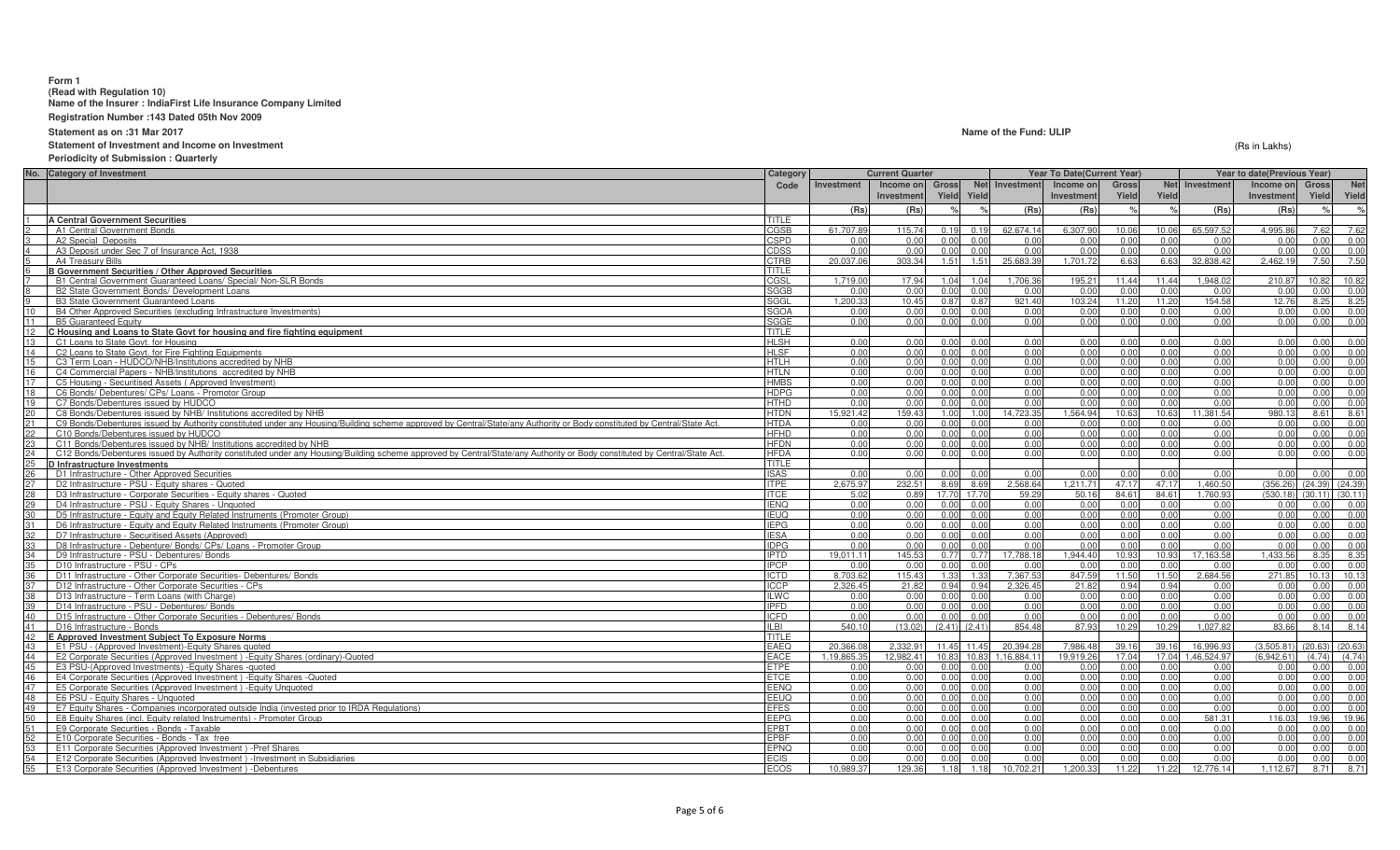## **Form 1**

**(Read with Regulation 10) Name of the Insurer : IndiaFirst Life Insurance Company Limited**

**Registration Number :143 Dated 05th Nov 2009**

**Statement as on :31 Mar 2017**

**Statement of Investment and Income on Investment**

**Periodicity of Submission : Quarterly**

| No. Category of Investment                                                                                                                                                     | Category                   |              | <b>Current Quarter</b> |                   |                      | Year To Date(Current Year) |                |              |                   | Year to date(Previous Year) |                     |                |
|--------------------------------------------------------------------------------------------------------------------------------------------------------------------------------|----------------------------|--------------|------------------------|-------------------|----------------------|----------------------------|----------------|--------------|-------------------|-----------------------------|---------------------|----------------|
|                                                                                                                                                                                | Code                       | Investment   | Income on              | <b>Gross</b>      | Net Investment       | Income on                  | <b>Gross</b>   |              | Net Investment    | Income on                   | <b>Gross</b>        | Net            |
|                                                                                                                                                                                |                            |              | Investmen              | Yield             | Yield                | Investment                 | Yield          | Yield        |                   | Investment                  | Yield               | Yield          |
|                                                                                                                                                                                |                            | (Rs)         | (Rs)                   | $O_{\alpha}$      | (Rs)                 | (Rs)                       |                | $\%$         | (Rs)              | (Rs)                        |                     | $\mathsf{o}_k$ |
| <b>A Central Government Securities</b>                                                                                                                                         | TITLE                      |              |                        |                   |                      |                            |                |              |                   |                             |                     |                |
| A1 Central Government Bonds                                                                                                                                                    | CGSB                       | 61.707.89    | 115.74                 | 0.19              | 0.19<br>62.674.14    | 6.307.90                   | 10.06          | 10.06        | 65.597.52         | 4.995.86                    | 7.62                | 7.62           |
| A2 Special Deposits                                                                                                                                                            | CSPD                       | 0.00         | 0.00                   | 0.00              | 0.00<br>0.00         | 0.00                       | 0.00           | 0.00         | 0.00              | 0.00                        | 0.00                | 0.00           |
| A3 Deposit under Sec 7 of Insurance Act, 1938                                                                                                                                  | <b>CDSS</b>                | 0.00         | 0.00                   | 0.00              | 0.00<br>0.00         | 0.00                       | 0.00           | 0.00         | 0.00              | 0.00                        | 0.00                | 0.00           |
| A4 Treasury Bills                                                                                                                                                              | <b>CTRB</b>                | 20.037.06    | 303.34                 | 1.51              | 25,683.39<br>1.51    | 1.701.72                   | 6.63           | 6.63         | 32.838.42         | 2,462.19                    | 7.50                | 7.50           |
| <b>B Government Securities / Other Approved Securities</b>                                                                                                                     | TITLE                      |              |                        |                   |                      |                            |                |              |                   |                             |                     |                |
| B1 Central Government Guaranteed Loans/ Special/ Non-SLR Bonds                                                                                                                 | CGSL                       | 1.719.00     | 17.94                  | 1.04              | 1,706.36<br>1.04     | 195.21                     | 11.44          | 11.44        | .948.02           | 210.87                      | 10.82               | 10.82          |
| B2 State Government Bonds/ Development Loans                                                                                                                                   | <b>SGGB</b>                | 0.00         | 0.00                   | 0.00              | 0.00<br>0.00         | 0.00                       | 0.00           | 0.00         | 0.00              | 0.00                        | 0.00                | 0.00           |
| <b>B3 State Government Guaranteed Loans</b>                                                                                                                                    | SGGL                       | 1.200.33     | 10.45                  | 0.87              | 921.40<br>0.87       | 103.24                     | 11.20          | 11.20        | 154.58            | 12.76                       | 8.25                | 8.25           |
| 10<br>B4 Other Approved Securities (excluding Infrastructure Investments)                                                                                                      | <b>SGOA</b>                | 0.00         | 0.00                   | 0.00              | 0.00<br>0.00         | 0.00                       | 0.00           | 0.00         | 0.00              | 0.00                        | 0.00                | 0.00           |
| 11<br><b>B5 Guaranteed Equity</b>                                                                                                                                              | SGGE                       | 0.00         | 0.00                   | 0.00              | 0.00<br>0.00         | 0.00                       | 0.00           | 0.00         | 0.00              | 0.00                        | 0.00                | 0.00           |
| 12<br>C Housing and Loans to State Govt for housing and fire fighting equipment                                                                                                | TITLE                      |              |                        |                   |                      |                            |                |              |                   |                             |                     |                |
| 13<br>C1 Loans to State Govt. for Housing                                                                                                                                      | <b>HLSH</b>                | 0.00         | 0.00                   | 0.00              | 0.00<br>0.00         | 0.00                       | 0.00           | 0.00         | 0.00              | 0.00                        | 0.00                | 0.00           |
| 14<br>C2 Loans to State Govt. for Fire Fighting Equipments                                                                                                                     | <b>HLSF</b>                | 0.00         | 0.00                   | 0.00              | 0.00<br>0.00         | 0.00                       | 0.00           | 0.00         | 0.00              | 0.00                        | 0.00                | 0.00           |
| 15<br>C3 Term Loan - HUDCO/NHB/Institutions accredited by NHB                                                                                                                  | <b>HTLH</b>                | 0.00         | 0.00                   | 0.00              | 0.00<br>0.00         | 0.00                       | 0.00           | 0.00         | 0.00              | 0.00                        | 0.00                | 0.00           |
| 16                                                                                                                                                                             |                            |              |                        | 0.00              | 0.00                 |                            | 0.00           |              |                   |                             | 0.00                | 0.00           |
| C4 Commercial Papers - NHB/Institutions accredited by NHB<br>17                                                                                                                | <b>HTLN</b><br><b>HMBS</b> | 0.00<br>0.00 | 0.00<br>0.00           | 0.00              | 0.00<br>0.00<br>0.00 | 0.00<br>0.00               | 0.00           | 0.00<br>0.00 | 0.00<br>0.00      | 0.00<br>0.00                | 0.00                |                |
| C5 Housing - Securitised Assets (Approved Investment)                                                                                                                          |                            |              |                        |                   |                      |                            |                |              |                   |                             |                     | 0.00           |
| 18<br>C6 Bonds/ Debentures/ CPs/ Loans - Promotor Group                                                                                                                        | <b>HDPG</b>                | 0.00         | 0.00                   | 0.00              | 0.00<br>0.00         | 0.00                       | 0.00           | 0.00         | 0.00              | 0.00                        | 0.00                | 0.00           |
| 19<br>C7 Bonds/Debentures issued by HUDCO                                                                                                                                      | <b>HTHD</b>                | 0.00         | 0.00                   | 0.00              | 0.00<br>0.00         | 0.00                       | 0.00           | 0.00         | 0.00              | 0.00                        | 0.00                | 0.00           |
| 20<br>C8 Bonds/Debentures issued by NHB/ Institutions accredited by NHB                                                                                                        | <b>HTDN</b>                | 15.921.42    | 159.43                 | 1.00              | 14,723.35<br>1.00    | 1,564.94                   | 10.63          | 10.63        | 11,381.54         | 980.13                      | 8.61                | 8.61           |
| 21<br>C9 Bonds/Debentures issued by Authority constituted under any Housing/Building scheme approved by Central/State/any Authority or Body constituted by Central/State Act.  | <b>HTDA</b>                | 0.00         | 0.00                   | 0.00              | 0.00<br>0.00         | 0.00                       | 0.00           | 0.00         | 0.00              | 0.00                        | 0.00                | 0.00           |
| 22<br>C10 Bonds/Debentures issued by HUDCO                                                                                                                                     | <b>HFHD</b>                | 0.00         | 0.00                   | 0.00              | 0.00<br>0.00         | 0.00                       | 0.00           | 0.00         | 0.00              | 0.00                        | 0.00                | 0.00           |
| C11 Bonds/Debentures issued by NHB/ Institutions accredited by NHB<br>23                                                                                                       | <b>HFDN</b>                | 0.00         | 0.00                   | 0.00              | 0.00<br>0.00         | 0.00                       | 0 <sub>0</sub> | 0.00         | 0.00              | 0.00                        | 0.00                | 0.00           |
| 24<br>C12 Bonds/Debentures issued by Authority constituted under any Housing/Building scheme approved by Central/State/any Authority or Body constituted by Central/State Act. | <b>HFDA</b>                | 0.00         | 0.00                   | 0.00              | 0.00<br>0.00         | 0.00                       | 0.00           | 0.00         | 0.00              | 0.00                        | 0.00                | 0.00           |
| $25\overline{)}$<br>D Infrastructure Investments                                                                                                                               | TITLE                      |              |                        |                   |                      |                            |                |              |                   |                             |                     |                |
| 26<br>D1 Infrastructure - Other Approved Securities                                                                                                                            | <b>ISAS</b>                | 0.00         | 0.00                   | 0.00              | 0.00<br>0.00         | 0.00                       | 0.00           | 0.00         | 0.00              | 0.00                        | 0.00                | 0.00           |
| D2 Infrastructure - PSU - Equity shares - Quoted                                                                                                                               | <b>ITPE</b>                | 2.675.97     | 232.51                 | 8.69              | 2,568.64<br>8.69     | 1.211.71                   | 47.17          | 47.17        | 1.460.50          | (356.26)                    | $(24.39)$ $(24.39)$ |                |
| 28<br>D3 Infrastructure - Corporate Securities - Equity shares - Quoted                                                                                                        | <b>ITCE</b>                | 5.02         | 0.89                   | 17.70<br>17.70    | 59.29                | 50.16                      | 84.61          | 84.61        | 1.760.93          | (530.18)                    | $(30.11)$ $(30.11)$ |                |
| 29<br>D4 Infrastructure - PSU - Equity Shares - Unquoted                                                                                                                       | <b>IENQ</b>                | 0.00         | 0.00                   | 0.00              | 0.00<br>0.00         | 0.00                       | 0.00           | 0.00         | 0.00              | 0.00                        | 0.00                | 0.00           |
| 30<br>D5 Infrastructure - Equity and Equity Related Instruments (Promoter Group)                                                                                               | <b>IEUQ</b>                | 0.00         | 0.00                   | 0.00              | 0.00<br>0.00         | 0.00                       | 0.00           | 0.00         | 0.00              | 0.00                        | 0.00                | 0.00           |
| D6 Infrastructure - Equity and Equity Related Instruments (Promoter Group)                                                                                                     | <b>IEPG</b>                | 0.00         | 0.00                   | 0.00              | 0.00<br>0.00         | 0.00                       | 0.00           | 0.00         | 0.00              | 0.00                        | 0.00                | 0.00           |
| 32<br>D7 Infrastructure - Securitised Assets (Approved)                                                                                                                        | <b>IESA</b>                | 0.00         | 0.00                   | 0.00              | 0.00<br>0.00         | 0.00                       | 0.00           | 0.00         | 0.00              | 0.00                        | 0.00                | 0.00           |
| 33 <sup>°</sup><br>D8 Infrastructure - Debenture/ Bonds/ CPs/ Loans - Promoter Group                                                                                           | <b>IDPG</b>                | 0.00         | 0.00                   | 0.00              | 0.00<br>0.00         | 0.00                       | 0.00           | 0.00         | 0.00              | 0.00                        | 0.00                | 0.00           |
| 34<br>D9 Infrastructure - PSU - Debentures/ Bonds                                                                                                                              | <b>IPTD</b>                | 19.011.11    | 145.53                 | 0.77              | 17.788.18<br>0.77    | 1,944.40                   | 10.93          | 10.93        | 17.163.58         | 1.433.56                    | 8.35                | 8.35           |
| 35<br>D10 Infrastructure - PSU - CPs                                                                                                                                           | <b>IPCP</b>                | 0.00         | 0.00                   | 0.00              | 0.00<br>0.00         | 0.00                       | 0.00           | 0.00         | 0.00              | 0.00                        | 0.00                | 0.00           |
| D11 Infrastructure - Other Corporate Securities- Debentures/ Bonds<br>36                                                                                                       | <b>ICTD</b>                | 8.703.62     | 115.43                 | 1.33              | 7.367.53<br>1.33     | 847.59                     | 11.50          | 11.50        | .684.56           | 271.85                      | 10.13               | 10.13          |
| D12 Infrastructure - Other Corporate Securities - CPs                                                                                                                          | <b>ICCP</b>                | 2.326.45     | 21.82                  | 0.94              | 2.326.45<br>0.94     | 21.82                      | 0.94           | 0.94         | 0.00              | 0.00                        | 0.00                | 0.00           |
| 38<br>D13 Infrastructure - Term Loans (with Charge)                                                                                                                            | <b>ILWC</b>                | 0.00         | 0.00                   | 0.00              | 0.00<br>0.00         | 0.00                       | 0.00           | 0.00         | 0.00              | 0.00                        | 0.00                | 0.00           |
| D14 Infrastructure - PSU - Debentures/ Bonds                                                                                                                                   | <b>IPFD</b>                | 0.00         | 0.00                   | 0.00              | 0.00<br>0.00         | 0.00                       | 0.00           | 0.00         | 0.00              | 0.00                        | 0.00                | 0.00           |
| 40<br>D15 Infrastructure - Other Corporate Securities - Debentures/ Bonds                                                                                                      | ICFD                       | 0.00         | 0.00                   | 0.00              | 0.00<br>0.00         | 0.00                       | 0.00           | 0.00         | 0.00              | 0.00                        | 0.00                | 0.00           |
| 41<br>D16 Infrastructure - Bonds                                                                                                                                               | <b>ILBI</b>                | 540.10       | (13.02)                | $(2.41)$ $(2.41)$ | 854.48               | 87.93                      | 10.29          | 10.29        | 1.027.82          | 83.66                       | 8.14                | 8.14           |
| 42<br>E Approved Investment Subject To Exposure Norms                                                                                                                          | <b>TITLE</b>               |              |                        |                   |                      |                            |                |              |                   |                             |                     |                |
| 43<br>E1 PSU - (Approved Investment)-Equity Shares quoted                                                                                                                      | <b>EAEQ</b>                | 20.366.0     | 2.332.91               | 11.45 11.45       | 20.394.28            | 7.986.48                   | 39.16          | 39.16        | 16.996.93         | (3.505.81)                  | $(20.63)$ $(20.63)$ |                |
| 44<br>E2 Corporate Securities (Approved Investment) - Equity Shares (ordinary)-Quoted                                                                                          | EACE                       | 1.19.865.35  | 12.982.41              | 10.83             | 1.16.884.11<br>10.83 | 19.919.26                  | 17.04          |              | 17.04 1.46.524.97 | (6.942.61)                  | (4.74)              | (4.74)         |
| 45<br>E3 PSU-(Approved Investments) - Equity Shares - quoted                                                                                                                   | <b>ETPE</b>                | 0.00         | 0.00                   | 0.00              | 0.00<br>0.00         | 0.00                       | 0.00           | 0.00         | 0.00              | 0.00                        | 0.00                | 0.00           |
| 46<br>E4 Corporate Securities (Approved Investment) - Equity Shares - Quoted                                                                                                   | <b>ETCE</b>                | 0.00         | 0.00                   | 0.00              | 0.00<br>0.00         | 0.00                       | 0.00           | 0.00         | 0.00              | 0.00                        | 0.00                | 0.00           |
| 47<br>E5 Corporate Securities (Approved Investment) - Equity Unquoted                                                                                                          | EENQ                       | 0.00         | 0.00                   | 0.00              | 0.00<br>0.00         | 0.00                       | 0.00           | 0.00         | 0.00              | 0.00                        | 0.00                | 0.00           |
| 48<br>E6 PSU - Equity Shares - Unquoted                                                                                                                                        | EEUQ                       | 0.00         | 0.00                   | 0.00              | 0.00<br>0.00         | 0.00                       | 0.00           | 0.00         | 0.00              | 0.00                        | 0.00                | 0.00           |
| 49<br>E7 Equity Shares - Companies incorporated outside India (invested prior to IRDA Regulations)                                                                             | <b>EFES</b>                | 0.00         | 0.00                   | 0.00              | 0.00<br>0.00         | 0.00                       | 0.00           | 0.00         | 0.00              | 0.00                        | 0.00                | 0.00           |
| 50<br>E8 Equity Shares (incl. Equity related Instruments) - Promoter Group                                                                                                     | <b>EEPG</b>                | 0.00         | 0.00                   | 0.00              | 0.00<br>0.00         | 0.00                       | 0.00           | 0.00         | 581.31            | 116.03                      | 19.96               | 19.96          |
| 51<br>E9 Corporate Securities - Bonds - Taxable                                                                                                                                | <b>EPBT</b>                | 0.00         | 0.00                   | 0.00              | 0.00<br>0.00         | 0.00                       | 0.00           | 0.00         | 0.00              | 0.00                        | 0.00                | 0.00           |
| 52<br>E10 Corporate Securities - Bonds - Tax free                                                                                                                              | EPBF                       | 0.00         | 0.00                   | 0.00              | 0.00<br>0.00         | 0.00                       | 0.00           | 0.00         | 0.00              | 0.00                        | 0.00                | 0.00           |
| 53<br>E11 Corporate Securities (Approved Investment) - Pref Shares                                                                                                             | <b>EPNQ</b>                | 0.00         | 0.00                   | 0.00              | 0.00<br>0.00         | 0.00                       | 0.00           | 0.00         | 0.00              | 0.00                        | 0.00                | 0.00           |
| 54<br>E12 Corporate Securities (Approved Investment) - Investment in Subsidiaries                                                                                              | <b>ECIS</b>                | 0.00         | 0 <sup>0</sup>         | 0.00              | 0.00<br>0.00         | 0.00                       | 0.00           | 0.00         | 0.00              | 0.00                        | 0.00                | 0.00           |
| 55<br>E13 Corporate Securities (Approved Investment) - Debentures                                                                                                              | <b>ECOS</b>                | 10.989.37    | 129.36                 | 1.18              | 1.18<br>10.702.21    | 1.200.33                   | 11.22          | 11.22        | 12.776.14         | 1.112.67                    | 8.71                | 8.71           |
|                                                                                                                                                                                |                            |              |                        |                   |                      |                            |                |              |                   |                             |                     |                |

# **Name of the Fund: ULIP**

(Rs in Lakhs)